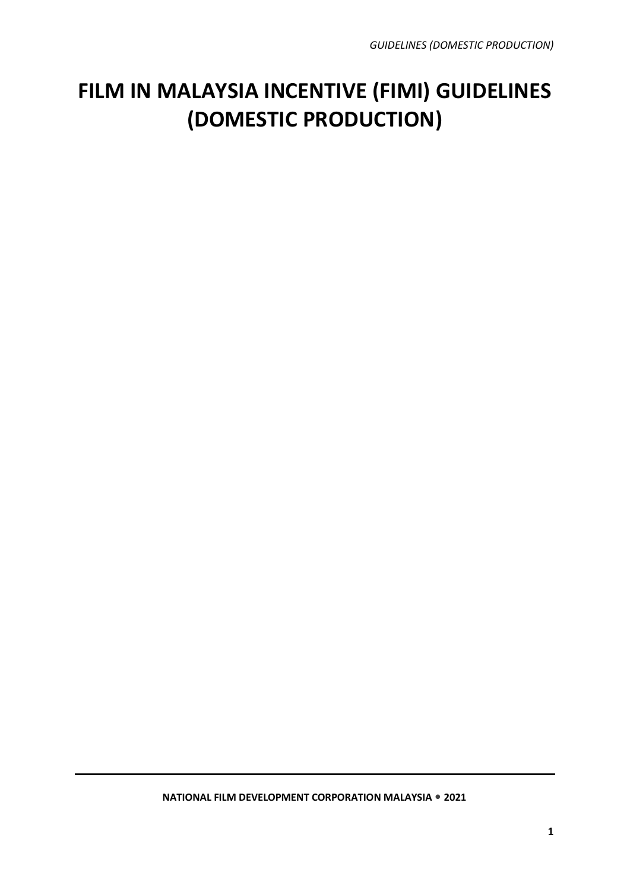## **FILM IN MALAYSIA INCENTIVE (FIMI) GUIDELINES (DOMESTIC PRODUCTION)**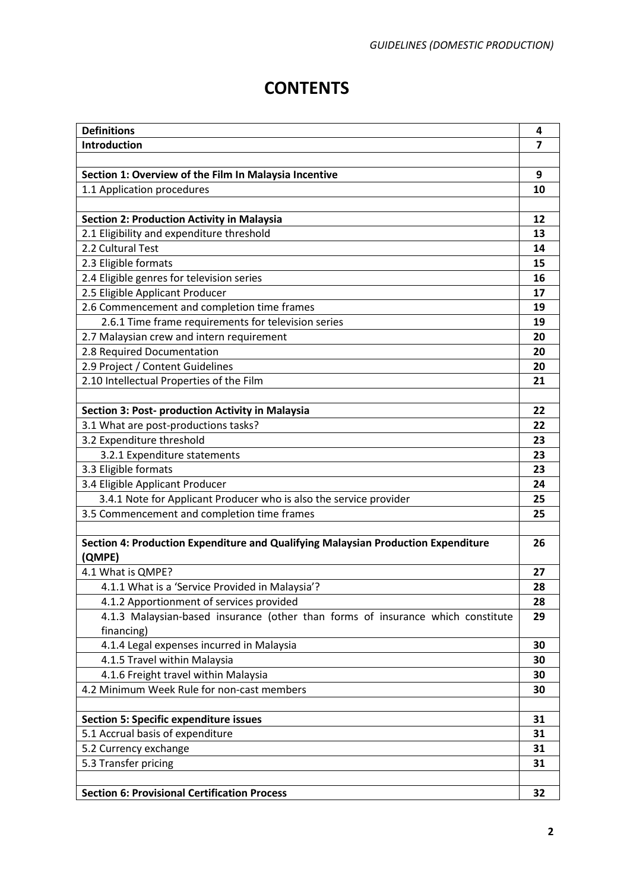### **CONTENTS**

| <b>Definitions</b>                                                                | 4                       |  |  |  |  |  |  |
|-----------------------------------------------------------------------------------|-------------------------|--|--|--|--|--|--|
| Introduction                                                                      | $\overline{\mathbf{z}}$ |  |  |  |  |  |  |
|                                                                                   |                         |  |  |  |  |  |  |
| Section 1: Overview of the Film In Malaysia Incentive                             | 9                       |  |  |  |  |  |  |
| 1.1 Application procedures                                                        | 10                      |  |  |  |  |  |  |
|                                                                                   |                         |  |  |  |  |  |  |
| <b>Section 2: Production Activity in Malaysia</b>                                 | 12                      |  |  |  |  |  |  |
| 2.1 Eligibility and expenditure threshold                                         | 13                      |  |  |  |  |  |  |
| 2.2 Cultural Test                                                                 | 14                      |  |  |  |  |  |  |
| 2.3 Eligible formats                                                              | 15                      |  |  |  |  |  |  |
| 2.4 Eligible genres for television series                                         | 16                      |  |  |  |  |  |  |
| 2.5 Eligible Applicant Producer                                                   | 17                      |  |  |  |  |  |  |
| 2.6 Commencement and completion time frames                                       | 19                      |  |  |  |  |  |  |
| 2.6.1 Time frame requirements for television series                               | 19                      |  |  |  |  |  |  |
| 2.7 Malaysian crew and intern requirement                                         | 20                      |  |  |  |  |  |  |
| 2.8 Required Documentation                                                        | 20                      |  |  |  |  |  |  |
| 2.9 Project / Content Guidelines                                                  | 20                      |  |  |  |  |  |  |
| 2.10 Intellectual Properties of the Film                                          | 21                      |  |  |  |  |  |  |
|                                                                                   |                         |  |  |  |  |  |  |
| Section 3: Post- production Activity in Malaysia                                  | 22                      |  |  |  |  |  |  |
| 3.1 What are post-productions tasks?                                              | 22                      |  |  |  |  |  |  |
| 3.2 Expenditure threshold                                                         | 23                      |  |  |  |  |  |  |
| 3.2.1 Expenditure statements                                                      | 23                      |  |  |  |  |  |  |
| 3.3 Eligible formats                                                              | 23                      |  |  |  |  |  |  |
| 3.4 Eligible Applicant Producer                                                   |                         |  |  |  |  |  |  |
| 3.4.1 Note for Applicant Producer who is also the service provider                |                         |  |  |  |  |  |  |
| 3.5 Commencement and completion time frames                                       |                         |  |  |  |  |  |  |
|                                                                                   |                         |  |  |  |  |  |  |
| Section 4: Production Expenditure and Qualifying Malaysian Production Expenditure | 26                      |  |  |  |  |  |  |
| (QMPE)                                                                            |                         |  |  |  |  |  |  |
| 4.1 What is QMPE?                                                                 | 27                      |  |  |  |  |  |  |
| 4.1.1 What is a 'Service Provided in Malaysia'?                                   | 28                      |  |  |  |  |  |  |
| 4.1.2 Apportionment of services provided                                          | 28                      |  |  |  |  |  |  |
| 4.1.3 Malaysian-based insurance (other than forms of insurance which constitute   | 29                      |  |  |  |  |  |  |
| financing)                                                                        |                         |  |  |  |  |  |  |
| 4.1.4 Legal expenses incurred in Malaysia                                         | 30                      |  |  |  |  |  |  |
| 4.1.5 Travel within Malaysia                                                      | 30                      |  |  |  |  |  |  |
| 4.1.6 Freight travel within Malaysia                                              | 30                      |  |  |  |  |  |  |
| 4.2 Minimum Week Rule for non-cast members                                        | 30                      |  |  |  |  |  |  |
|                                                                                   |                         |  |  |  |  |  |  |
| <b>Section 5: Specific expenditure issues</b>                                     | 31                      |  |  |  |  |  |  |
| 5.1 Accrual basis of expenditure                                                  | 31                      |  |  |  |  |  |  |
| 5.2 Currency exchange                                                             | 31                      |  |  |  |  |  |  |
| 5.3 Transfer pricing                                                              | 31                      |  |  |  |  |  |  |
|                                                                                   |                         |  |  |  |  |  |  |
| <b>Section 6: Provisional Certification Process</b>                               | 32                      |  |  |  |  |  |  |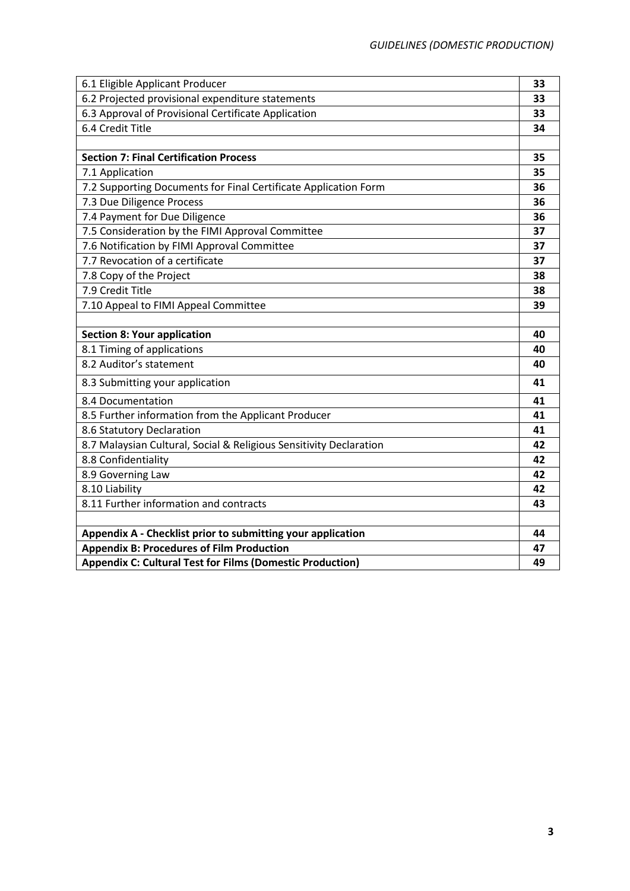| 6.1 Eligible Applicant Producer                                    | 33 |
|--------------------------------------------------------------------|----|
| 6.2 Projected provisional expenditure statements                   | 33 |
| 6.3 Approval of Provisional Certificate Application                | 33 |
| 6.4 Credit Title                                                   | 34 |
|                                                                    |    |
| <b>Section 7: Final Certification Process</b>                      | 35 |
| 7.1 Application                                                    | 35 |
| 7.2 Supporting Documents for Final Certificate Application Form    | 36 |
| 7.3 Due Diligence Process                                          | 36 |
| 7.4 Payment for Due Diligence                                      | 36 |
| 7.5 Consideration by the FIMI Approval Committee                   | 37 |
| 7.6 Notification by FIMI Approval Committee                        | 37 |
| 7.7 Revocation of a certificate                                    | 37 |
| 7.8 Copy of the Project                                            | 38 |
| 7.9 Credit Title                                                   | 38 |
| 7.10 Appeal to FIMI Appeal Committee                               | 39 |
|                                                                    |    |
| <b>Section 8: Your application</b>                                 | 40 |
| 8.1 Timing of applications                                         | 40 |
| 8.2 Auditor's statement                                            | 40 |
| 8.3 Submitting your application                                    | 41 |
| 8.4 Documentation                                                  | 41 |
| 8.5 Further information from the Applicant Producer                | 41 |
| 8.6 Statutory Declaration                                          | 41 |
| 8.7 Malaysian Cultural, Social & Religious Sensitivity Declaration | 42 |
| 8.8 Confidentiality                                                | 42 |
| 8.9 Governing Law                                                  | 42 |
| 8.10 Liability                                                     | 42 |
| 8.11 Further information and contracts                             | 43 |
|                                                                    |    |
| Appendix A - Checklist prior to submitting your application        | 44 |
| <b>Appendix B: Procedures of Film Production</b>                   | 47 |
| <b>Appendix C: Cultural Test for Films (Domestic Production)</b>   | 49 |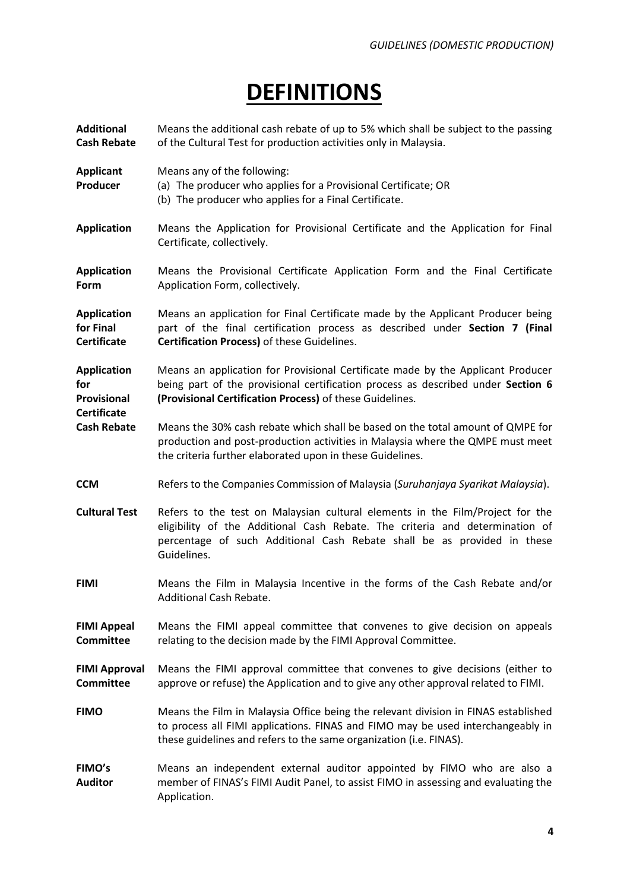## **DEFINITIONS**

Means the additional cash rebate of up to 5% which shall be subject to the passing

**Additional** 

**Cash Rebate** of the Cultural Test for production activities only in Malaysia. **Applicant Producer** Means any of the following: (a) The producer who applies for a Provisional Certificate; OR (b) The producer who applies for a Final Certificate. **Application** Means the Application for Provisional Certificate and the Application for Final Certificate, collectively. **Application Form** Means the Provisional Certificate Application Form and the Final Certificate Application Form, collectively. **Application for Final Certificate** Means an application for Final Certificate made by the Applicant Producer being part of the final certification process as described under **Section 7 (Final Certification Process)** of these Guidelines. **Application for Provisional Certificate** Means an application for Provisional Certificate made by the Applicant Producer being part of the provisional certification process as described under **Section 6 (Provisional Certification Process)** of these Guidelines. **Cash Rebate** Means the 30% cash rebate which shall be based on the total amount of QMPE for production and post-production activities in Malaysia where the QMPE must meet the criteria further elaborated upon in these Guidelines. **CCM** Refers to the Companies Commission of Malaysia (*Suruhanjaya Syarikat Malaysia*). **Cultural Test** Refers to the test on Malaysian cultural elements in the Film/Project for the eligibility of the Additional Cash Rebate. The criteria and determination of percentage of such Additional Cash Rebate shall be as provided in these Guidelines. **FIMI** Means the Film in Malaysia Incentive in the forms of the Cash Rebate and/or Additional Cash Rebate. **FIMI Appeal Committee** Means the FIMI appeal committee that convenes to give decision on appeals relating to the decision made by the FIMI Approval Committee. **FIMI Approval Committee** Means the FIMI approval committee that convenes to give decisions (either to approve or refuse) the Application and to give any other approval related to FIMI. **FIMO** Means the Film in Malaysia Office being the relevant division in FINAS established to process all FIMI applications. FINAS and FIMO may be used interchangeably in these guidelines and refers to the same organization (i.e. FINAS). **FIMO's Auditor** Means an independent external auditor appointed by FIMO who are also a member of FINAS's FIMI Audit Panel, to assist FIMO in assessing and evaluating the Application.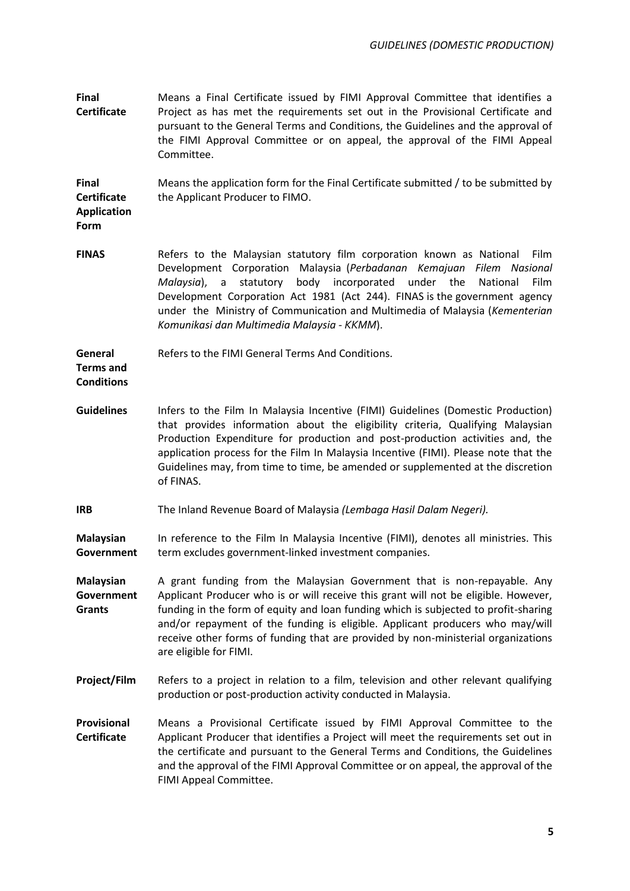**Final Certificate** Means a Final Certificate issued by FIMI Approval Committee that identifies a Project as has met the requirements set out in the Provisional Certificate and pursuant to the General Terms and Conditions, the Guidelines and the approval of the FIMI Approval Committee or on appeal, the approval of the FIMI Appeal Committee.

**Final Certificate**  Means the application form for the Final Certificate submitted / to be submitted by the Applicant Producer to FIMO.

**Application Form**

**FINAS** Refers to the Malaysian statutory film corporation known as National Film Development Corporation Malaysia (*Perbadanan Kemajuan Filem Nasional Malaysia*), a statutory body incorporated under the National Film Development Corporation Act 1981 (Act 244). FINAS is the government agency under the Ministry of Communication and Multimedia of Malaysia (*Kementerian Komunikasi dan Multimedia Malaysia - KKMM*).

**General Terms and Conditions** Refers to the FIMI General Terms And Conditions.

- Guidelines Infers to the Film In Malaysia Incentive (FIMI) Guidelines (Domestic Production) that provides information about the eligibility criteria, Qualifying Malaysian Production Expenditure for production and post-production activities and, the application process for the Film In Malaysia Incentive (FIMI). Please note that the Guidelines may, from time to time, be amended or supplemented at the discretion of FINAS.
- **IRB** The Inland Revenue Board of Malaysia *(Lembaga Hasil Dalam Negeri).*

**Malaysian Government** In reference to the Film In Malaysia Incentive (FIMI), denotes all ministries. This term excludes government-linked investment companies.

- **Malaysian Government Grants** A grant funding from the Malaysian Government that is non-repayable. Any Applicant Producer who is or will receive this grant will not be eligible. However, funding in the form of equity and loan funding which is subjected to profit-sharing and/or repayment of the funding is eligible. Applicant producers who may/will receive other forms of funding that are provided by non-ministerial organizations are eligible for FIMI.
- **Project/Film** Refers to a project in relation to a film, television and other relevant qualifying production or post-production activity conducted in Malaysia.
- **Provisional Certificate** Means a Provisional Certificate issued by FIMI Approval Committee to the Applicant Producer that identifies a Project will meet the requirements set out in the certificate and pursuant to the General Terms and Conditions, the Guidelines and the approval of the FIMI Approval Committee or on appeal, the approval of the FIMI Appeal Committee.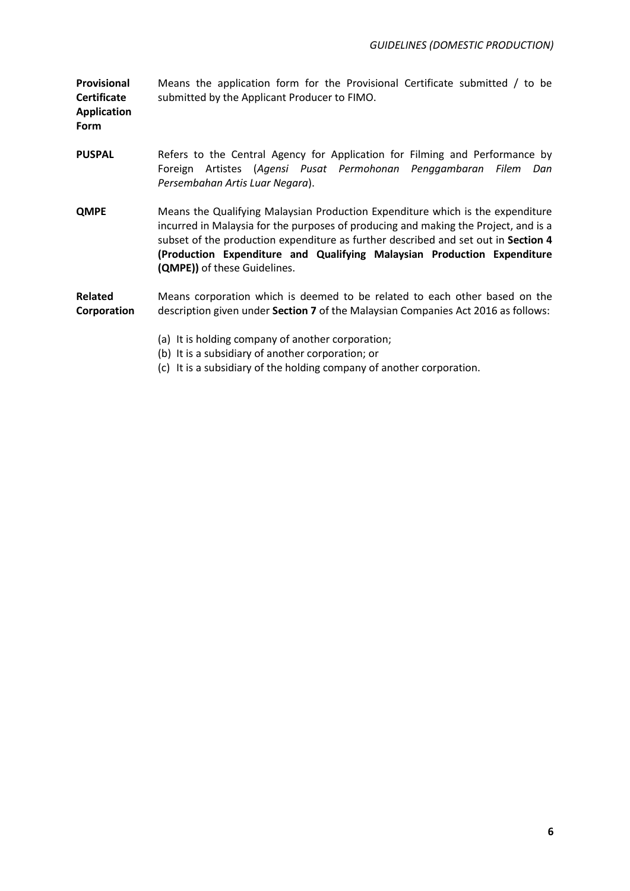**Provisional Certificate Application**  Means the application form for the Provisional Certificate submitted / to be submitted by the Applicant Producer to FIMO.

**Form**

- **PUSPAL** Refers to the Central Agency for Application for Filming and Performance by Foreign Artistes (*Agensi Pusat Permohonan Penggambaran Filem Dan Persembahan Artis Luar Negara*).
- **QMPE** Means the Qualifying Malaysian Production Expenditure which is the expenditure incurred in Malaysia for the purposes of producing and making the Project, and is a subset of the production expenditure as further described and set out in **Section 4 (Production Expenditure and Qualifying Malaysian Production Expenditure (QMPE))** of these Guidelines.

#### **Related Corporation** Means corporation which is deemed to be related to each other based on the description given under **Section 7** of the Malaysian Companies Act 2016 as follows:

- (a) It is holding company of another corporation;
- (b) It is a subsidiary of another corporation; or
- (c) It is a subsidiary of the holding company of another corporation.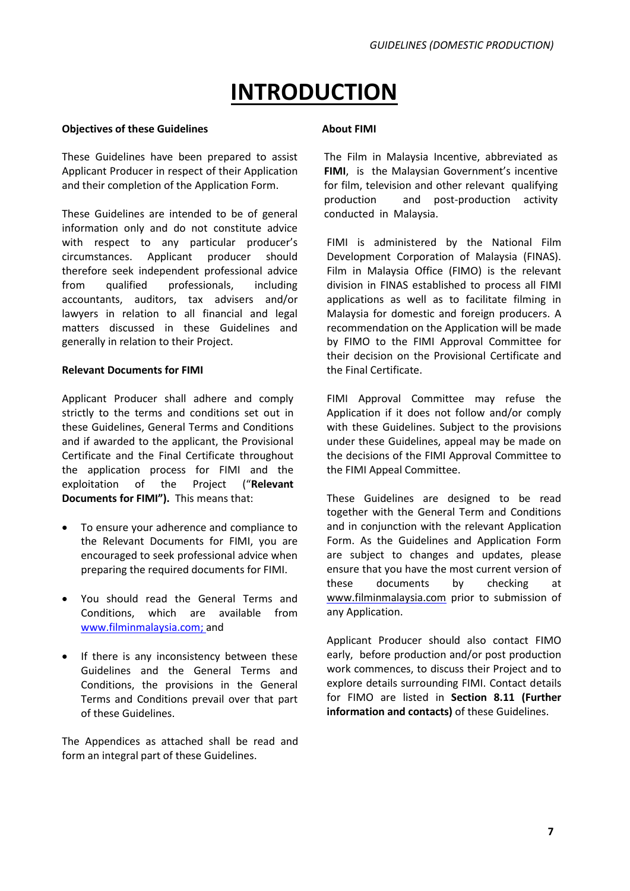## **INTRODUCTION**

### **Objectives of these Guidelines**

These Guidelines have been prepared to assist Applicant Producer in respect of their Application and their completion of the Application Form.

These Guidelines are intended to be of general information only and do not constitute advice with respect to any particular producer's circumstances. Applicant producer should therefore seek independent professional advice from qualified professionals, including accountants, auditors, tax advisers and/or lawyers in relation to all financial and legal matters discussed in these Guidelines and generally in relation to their Project.

### **Relevant Documents for FIMI**

Applicant Producer shall adhere and comply strictly to the terms and conditions set out in these Guidelines, General Terms and Conditions and if awarded to the applicant, the Provisional Certificate and the Final Certificate throughout the application process for FIMI and the exploitation of the Project ("**Relevant Documents for FIMI").** This means that:

- To ensure your adherence and compliance to the Relevant Documents for FIMI, you are encouraged to seek professional advice when preparing the required documents for FIMI.
- You should read the General Terms and Conditions, which are available from www.filminmalaysia.com; and
- If there is any inconsistency between these Guidelines and the General Terms and Conditions, the provisions in the General Terms and Conditions prevail over that part of these Guidelines.

The Appendices as attached shall be read and form an integral part of these Guidelines.

### **About FIMI**

The Film in Malaysia Incentive, abbreviated as **FIMI**, is the Malaysian Government's incentive for film, television and other relevant qualifying production and post-production activity conducted in Malaysia.

FIMI is administered by the National Film Development Corporation of Malaysia (FINAS). Film in Malaysia Office (FIMO) is the relevant division in FINAS established to process all FIMI applications as well as to facilitate filming in Malaysia for domestic and foreign producers. A recommendation on the Application will be made by FIMO to the FIMI Approval Committee for their decision on the Provisional Certificate and the Final Certificate.

FIMI Approval Committee may refuse the Application if it does not follow and/or comply with these Guidelines. Subject to the provisions under these Guidelines, appeal may be made on the decisions of the FIMI Approval Committee to the FIMI Appeal Committee.

These Guidelines are designed to be read together with the General Term and Conditions and in conjunction with the relevant Application Form. As the Guidelines and Application Form are subject to changes and updates, please ensure that you have the most current version of these documents by checking at [www.filminmalaysia.com](http://www.filminmalaysia.com/) prior to submission of any Application.

Applicant Producer should also contact FIMO early, before production and/or post production work commences, to discuss their Project and to explore details surrounding FIMI. Contact details for FIMO are listed in **Section 8.11 (Further information and contacts)** of these Guidelines.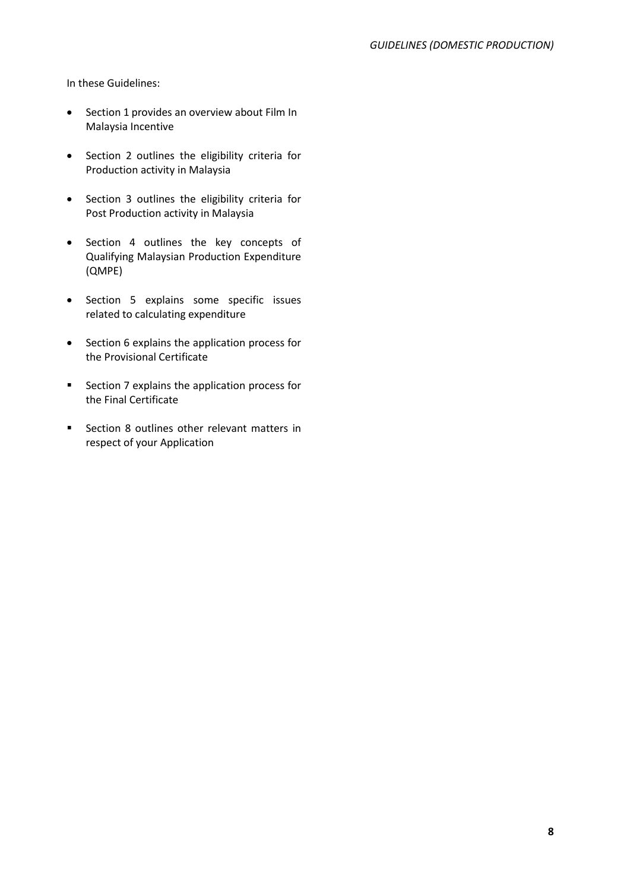In these Guidelines:

- Section 1 provides an overview about Film In Malaysia Incentive
- Section 2 outlines the eligibility criteria for Production activity in Malaysia
- Section 3 outlines the eligibility criteria for Post Production activity in Malaysia
- Section 4 outlines the key concepts of Qualifying Malaysian Production Expenditure (QMPE)
- Section 5 explains some specific issues related to calculating expenditure
- Section 6 explains the application process for the Provisional Certificate
- Section 7 explains the application process for the Final Certificate
- Section 8 outlines other relevant matters in respect of your Application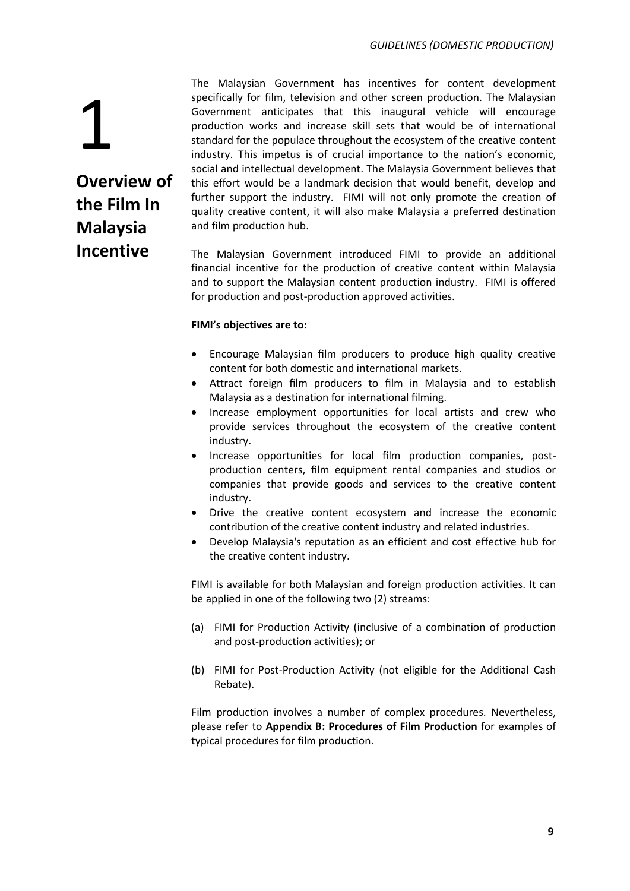1 **Overview of the Film In Malaysia Incentive**

The Malaysian Government has incentives for content development specifically for film, television and other screen production. The Malaysian Government anticipates that this inaugural vehicle will encourage production works and increase skill sets that would be of international standard for the populace throughout the ecosystem of the creative content industry. This impetus is of crucial importance to the nation's economic, social and intellectual development. The Malaysia Government believes that this effort would be a landmark decision that would benefit, develop and further support the industry. FIMI will not only promote the creation of quality creative content, it will also make Malaysia a preferred destination and film production hub.

The Malaysian Government introduced FIMI to provide an additional financial incentive for the production of creative content within Malaysia and to support the Malaysian content production industry. FIMI is offered for production and post-production approved activities.

### **FIMI's objectives are to:**

- Encourage Malaysian film producers to produce high quality creative content for both domestic and international markets.
- Attract foreign film producers to film in Malaysia and to establish Malaysia as a destination for international filming.
- Increase employment opportunities for local artists and crew who provide services throughout the ecosystem of the creative content industry.
- Increase opportunities for local film production companies, postproduction centers, film equipment rental companies and studios or companies that provide goods and services to the creative content industry.
- Drive the creative content ecosystem and increase the economic contribution of the creative content industry and related industries.
- Develop Malaysia's reputation as an efficient and cost effective hub for the creative content industry.

FIMI is available for both Malaysian and foreign production activities. It can be applied in one of the following two (2) streams:

- (a) FIMI for Production Activity (inclusive of a combination of production and post-production activities); or
- (b) FIMI for Post-Production Activity (not eligible for the Additional Cash Rebate).

Film production involves a number of complex procedures. Nevertheless, please refer to **Appendix B: Procedures of Film Production** for examples of typical procedures for film production.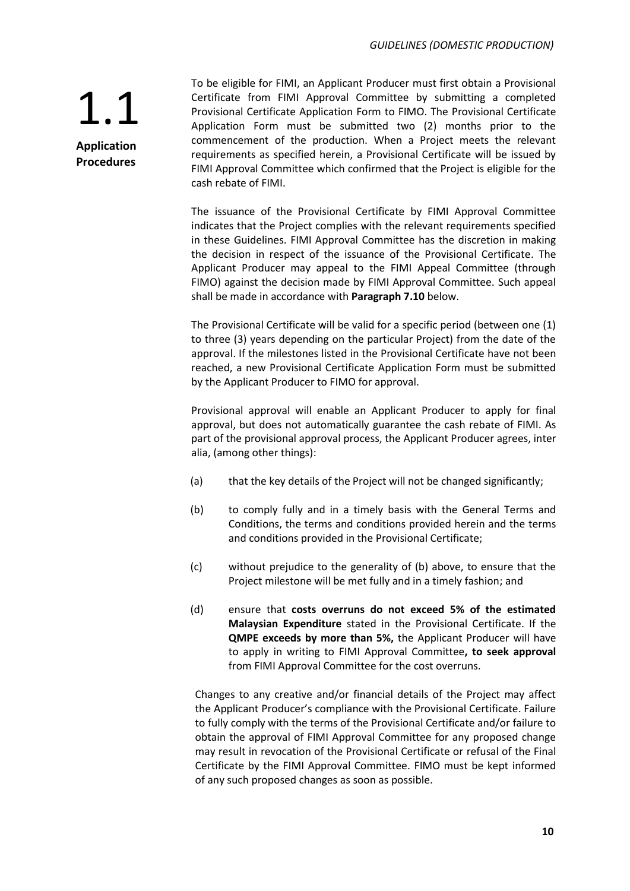**Application Procedures**

To be eligible for FIMI, an Applicant Producer must first obtain a Provisional Certificate from FIMI Approval Committee by submitting a completed Provisional Certificate Application Form to FIMO. The Provisional Certificate Application Form must be submitted two (2) months prior to the commencement of the production. When a Project meets the relevant requirements as specified herein, a Provisional Certificate will be issued by FIMI Approval Committee which confirmed that the Project is eligible for the cash rebate of FIMI.

The issuance of the Provisional Certificate by FIMI Approval Committee indicates that the Project complies with the relevant requirements specified in these Guidelines. FIMI Approval Committee has the discretion in making the decision in respect of the issuance of the Provisional Certificate. The Applicant Producer may appeal to the FIMI Appeal Committee (through FIMO) against the decision made by FIMI Approval Committee. Such appeal shall be made in accordance with **Paragraph 7.10** below.

The Provisional Certificate will be valid for a specific period (between one (1) to three (3) years depending on the particular Project) from the date of the approval. If the milestones listed in the Provisional Certificate have not been reached, a new Provisional Certificate Application Form must be submitted by the Applicant Producer to FIMO for approval.

Provisional approval will enable an Applicant Producer to apply for final approval, but does not automatically guarantee the cash rebate of FIMI. As part of the provisional approval process, the Applicant Producer agrees, inter alia, (among other things):

- (a) that the key details of the Project will not be changed significantly;
- (b) to comply fully and in a timely basis with the General Terms and Conditions, the terms and conditions provided herein and the terms and conditions provided in the Provisional Certificate;
- (c) without prejudice to the generality of (b) above, to ensure that the Project milestone will be met fully and in a timely fashion; and
- (d) ensure that **costs overruns do not exceed 5% of the estimated Malaysian Expenditure** stated in the Provisional Certificate. If the **QMPE exceeds by more than 5%,** the Applicant Producer will have to apply in writing to FIMI Approval Committee**, to seek approval** from FIMI Approval Committee for the cost overruns.

Changes to any creative and/or financial details of the Project may affect the Applicant Producer's compliance with the Provisional Certificate. Failure to fully comply with the terms of the Provisional Certificate and/or failure to obtain the approval of FIMI Approval Committee for any proposed change may result in revocation of the Provisional Certificate or refusal of the Final Certificate by the FIMI Approval Committee. FIMO must be kept informed of any such proposed changes as soon as possible.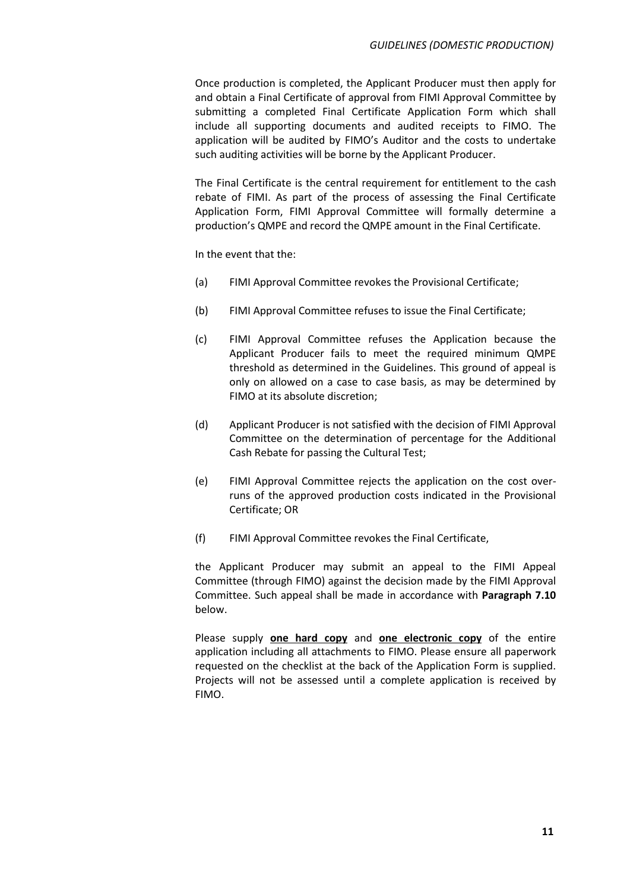Once production is completed, the Applicant Producer must then apply for and obtain a Final Certificate of approval from FIMI Approval Committee by submitting a completed Final Certificate Application Form which shall include all supporting documents and audited receipts to FIMO. The application will be audited by FIMO's Auditor and the costs to undertake such auditing activities will be borne by the Applicant Producer.

The Final Certificate is the central requirement for entitlement to the cash rebate of FIMI. As part of the process of assessing the Final Certificate Application Form, FIMI Approval Committee will formally determine a production's QMPE and record the QMPE amount in the Final Certificate.

In the event that the:

- (a) FIMI Approval Committee revokes the Provisional Certificate;
- (b) FIMI Approval Committee refuses to issue the Final Certificate;
- (c) FIMI Approval Committee refuses the Application because the Applicant Producer fails to meet the required minimum QMPE threshold as determined in the Guidelines. This ground of appeal is only on allowed on a case to case basis, as may be determined by FIMO at its absolute discretion;
- (d) Applicant Producer is not satisfied with the decision of FIMI Approval Committee on the determination of percentage for the Additional Cash Rebate for passing the Cultural Test;
- (e) FIMI Approval Committee rejects the application on the cost overruns of the approved production costs indicated in the Provisional Certificate; OR
- (f) FIMI Approval Committee revokes the Final Certificate,

the Applicant Producer may submit an appeal to the FIMI Appeal Committee (through FIMO) against the decision made by the FIMI Approval Committee. Such appeal shall be made in accordance with **Paragraph 7.10**  below.

Please supply **one hard copy** and **one electronic copy** of the entire application including all attachments to FIMO. Please ensure all paperwork requested on the checklist at the back of the Application Form is supplied. Projects will not be assessed until a complete application is received by FIMO.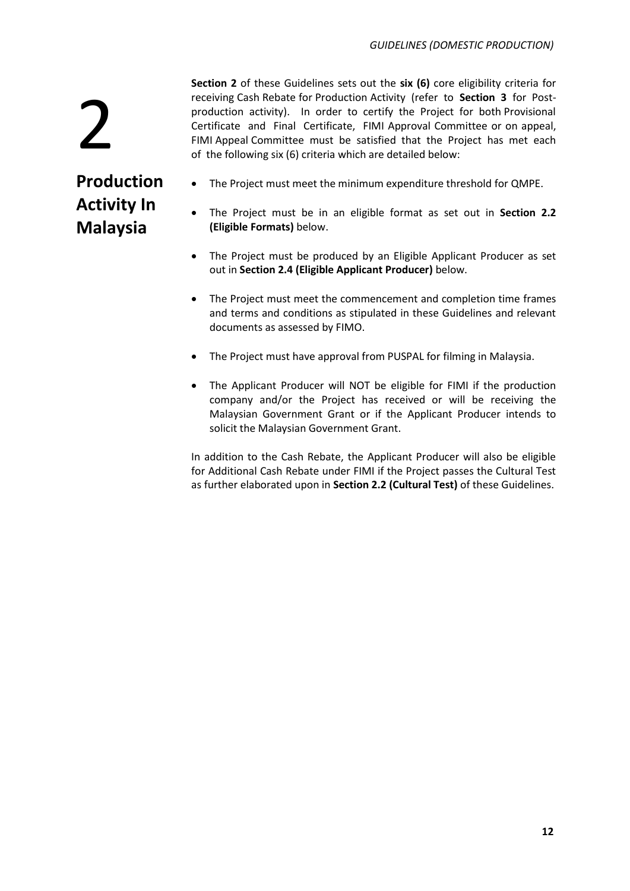**Section 2** of these Guidelines sets out the **six (6)** core eligibility criteria for receiving Cash Rebate for Production Activity (refer to **Section 3** for Postproduction activity). In order to certify the Project for both Provisional Certificate and Final Certificate, FIMI Approval Committee or on appeal, FIMI Appeal Committee must be satisfied that the Project has met each of the following six (6) criteria which are detailed below:

## **Production Activity In Malaysia**

2

- The Project must meet the minimum expenditure threshold for QMPE.
- The Project must be in an eligible format as set out in **Section 2.2 (Eligible Formats)** below.
- The Project must be produced by an Eligible Applicant Producer as set out in **Section 2.4 (Eligible Applicant Producer)** below.
- The Project must meet the commencement and completion time frames and terms and conditions as stipulated in these Guidelines and relevant documents as assessed by FIMO.
- The Project must have approval from PUSPAL for filming in Malaysia.
- The Applicant Producer will NOT be eligible for FIMI if the production company and/or the Project has received or will be receiving the Malaysian Government Grant or if the Applicant Producer intends to solicit the Malaysian Government Grant.

In addition to the Cash Rebate, the Applicant Producer will also be eligible for Additional Cash Rebate under FIMI if the Project passes the Cultural Test as further elaborated upon in **Section 2.2 (Cultural Test)** of these Guidelines.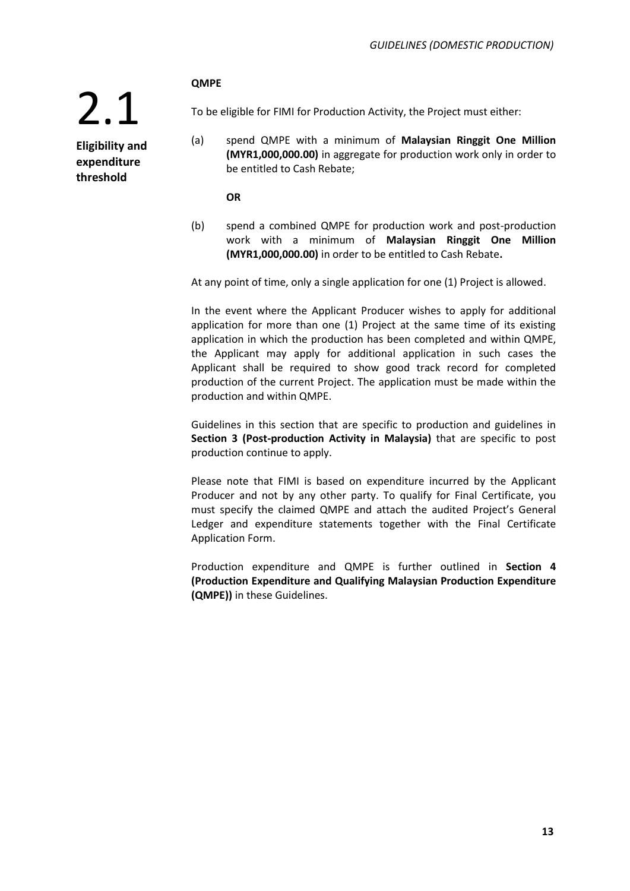### **QMPE**

2.1 **Eligibility and expenditure threshold**

To be eligible for FIMI for Production Activity, the Project must either:

(a) spend QMPE with a minimum of **Malaysian Ringgit One Million (MYR1,000,000.00)** in aggregate for production work only in order to be entitled to Cash Rebate;

**OR**

(b) spend a combined QMPE for production work and post-production work with a minimum of **Malaysian Ringgit One Million (MYR1,000,000.00)** in order to be entitled to Cash Rebate**.**

At any point of time, only a single application for one (1) Project is allowed.

In the event where the Applicant Producer wishes to apply for additional application for more than one (1) Project at the same time of its existing application in which the production has been completed and within QMPE, the Applicant may apply for additional application in such cases the Applicant shall be required to show good track record for completed production of the current Project. The application must be made within the production and within QMPE.

Guidelines in this section that are specific to production and guidelines in **Section 3 (Post-production Activity in Malaysia)** that are specific to post production continue to apply.

Please note that FIMI is based on expenditure incurred by the Applicant Producer and not by any other party. To qualify for Final Certificate, you must specify the claimed QMPE and attach the audited Project's General Ledger and expenditure statements together with the Final Certificate Application Form.

Production expenditure and QMPE is further outlined in **Section 4 (Production Expenditure and Qualifying Malaysian Production Expenditure (QMPE))** in these Guidelines.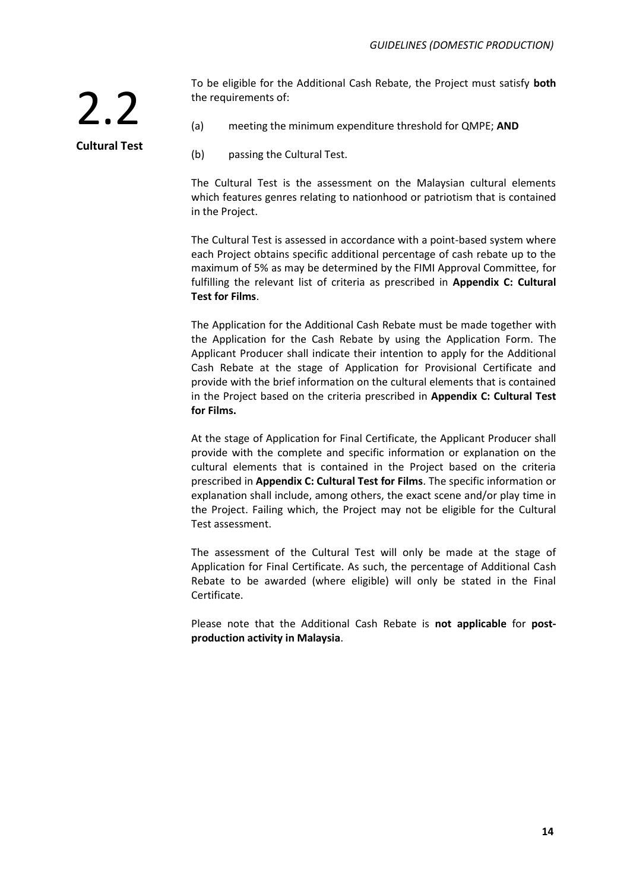To be eligible for the Additional Cash Rebate, the Project must satisfy **both** the requirements of:

**Cultural Test**

2.2

- (a) meeting the minimum expenditure threshold for QMPE; **AND**
- (b) passing the Cultural Test.

The Cultural Test is the assessment on the Malaysian cultural elements which features genres relating to nationhood or patriotism that is contained in the Project.

The Cultural Test is assessed in accordance with a point-based system where each Project obtains specific additional percentage of cash rebate up to the maximum of 5% as may be determined by the FIMI Approval Committee, for fulfilling the relevant list of criteria as prescribed in **Appendix C: Cultural Test for Films**.

The Application for the Additional Cash Rebate must be made together with the Application for the Cash Rebate by using the Application Form. The Applicant Producer shall indicate their intention to apply for the Additional Cash Rebate at the stage of Application for Provisional Certificate and provide with the brief information on the cultural elements that is contained in the Project based on the criteria prescribed in **Appendix C: Cultural Test for Films.**

At the stage of Application for Final Certificate, the Applicant Producer shall provide with the complete and specific information or explanation on the cultural elements that is contained in the Project based on the criteria prescribed in **Appendix C: Cultural Test for Films**. The specific information or explanation shall include, among others, the exact scene and/or play time in the Project. Failing which, the Project may not be eligible for the Cultural Test assessment.

The assessment of the Cultural Test will only be made at the stage of Application for Final Certificate. As such, the percentage of Additional Cash Rebate to be awarded (where eligible) will only be stated in the Final Certificate.

Please note that the Additional Cash Rebate is **not applicable** for **postproduction activity in Malaysia**.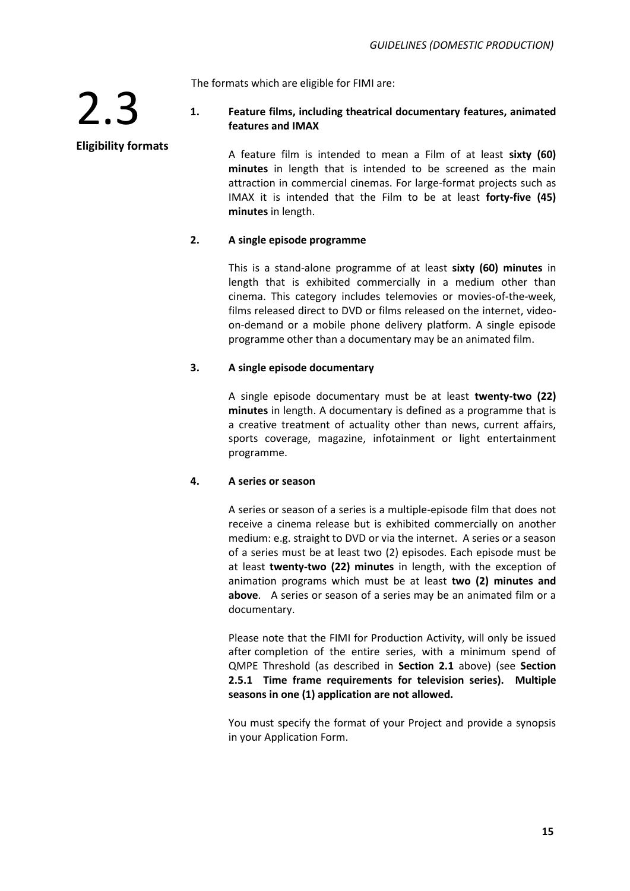The formats which are eligible for FIMI are:

### **1. Feature films, including theatrical documentary features, animated features and IMAX**

A feature film is intended to mean a Film of at least **sixty (60) minutes** in length that is intended to be screened as the main attraction in commercial cinemas. For large-format projects such as IMAX it is intended that the Film to be at least **forty-five (45) minutes** in length.

### **2. A single episode programme**

This is a stand-alone programme of at least **sixty (60) minutes** in length that is exhibited commercially in a medium other than cinema. This category includes telemovies or movies-of-the-week, films released direct to DVD or films released on the internet, videoon-demand or a mobile phone delivery platform. A single episode programme other than a documentary may be an animated film.

### **3. A single episode documentary**

A single episode documentary must be at least **twenty-two (22) minutes** in length. A documentary is defined as a programme that is a creative treatment of actuality other than news, current affairs, sports coverage, magazine, infotainment or light entertainment programme.

### **4. A series or season**

A series or season of a series is a multiple-episode film that does not receive a cinema release but is exhibited commercially on another medium: e.g. straight to DVD or via the internet. A series or a season of a series must be at least two (2) episodes. Each episode must be at least **twenty-two (22) minutes** in length, with the exception of animation programs which must be at least **two (2) minutes and above**. A series or season of a series may be an animated film or a documentary.

Please note that the FIMI for Production Activity, will only be issued after completion of the entire series, with a minimum spend of QMPE Threshold (as described in **Section 2.1** above) (see **Section 2.5.1 Time frame requirements for television series). Multiple seasons in one (1) application are not allowed.** 

You must specify the format of your Project and provide a synopsis in your Application Form.

### **Eligibility formats**

2.3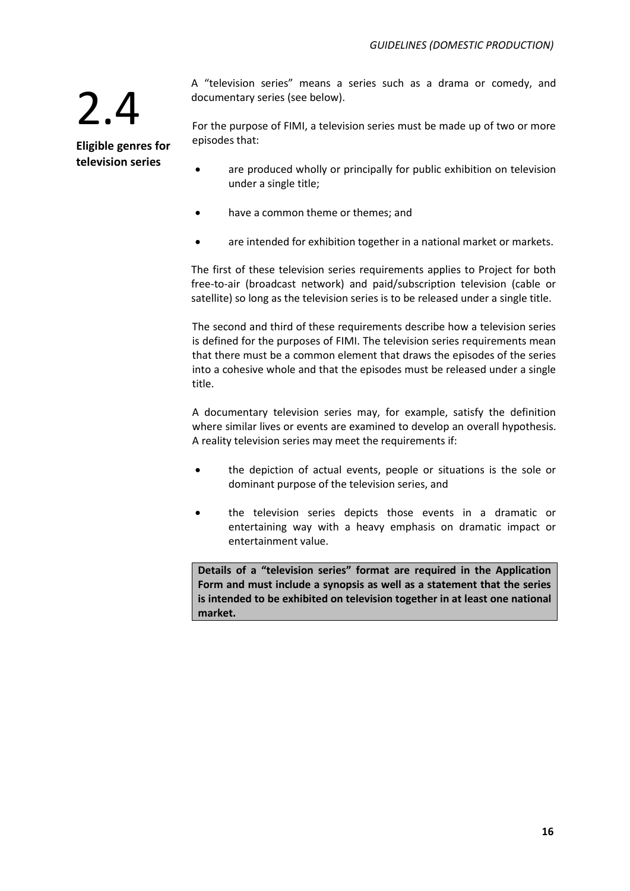**Eligible genres for television series**

A "television series" means a series such as a drama or comedy, and documentary series (see below).

For the purpose of FIMI, a television series must be made up of two or more episodes that:

- are produced wholly or principally for public exhibition on television under a single title;
- have a common theme or themes; and
- are intended for exhibition together in a national market or markets.

The first of these television series requirements applies to Project for both free-to-air (broadcast network) and paid/subscription television (cable or satellite) so long as the television series is to be released under a single title.

The second and third of these requirements describe how a television series is defined for the purposes of FIMI. The television series requirements mean that there must be a common element that draws the episodes of the series into a cohesive whole and that the episodes must be released under a single title.

A documentary television series may, for example, satisfy the definition where similar lives or events are examined to develop an overall hypothesis. A reality television series may meet the requirements if:

- the depiction of actual events, people or situations is the sole or dominant purpose of the television series, and
- the television series depicts those events in a dramatic or entertaining way with a heavy emphasis on dramatic impact or entertainment value.

**Details of a "television series" format are required in the Application Form and must include a synopsis as well as a statement that the series is intended to be exhibited on television together in at least one national market.**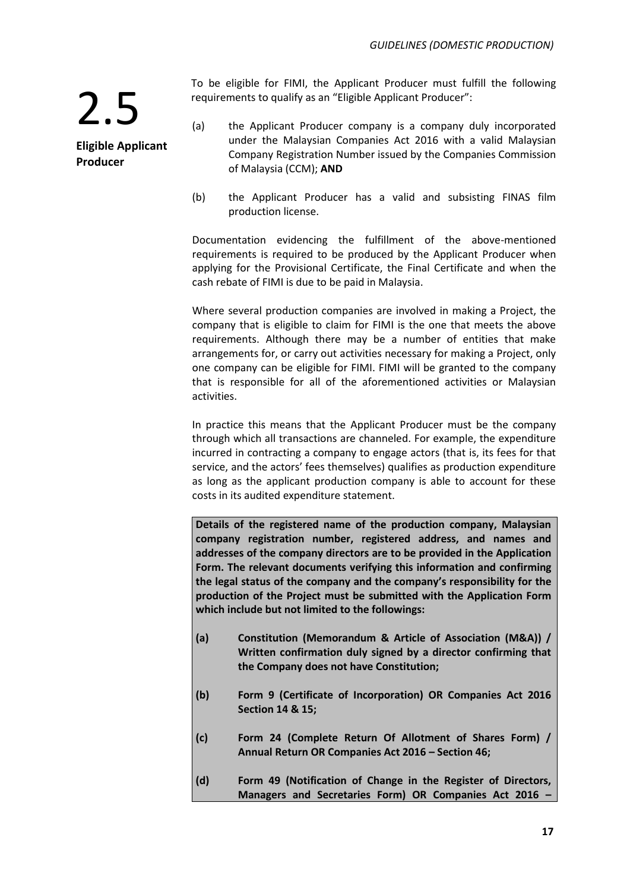2.5 **Eligible Applicant Producer**

To be eligible for FIMI, the Applicant Producer must fulfill the following requirements to qualify as an "Eligible Applicant Producer":

- (a) the Applicant Producer company is a company duly incorporated under the Malaysian Companies Act 2016 with a valid Malaysian Company Registration Number issued by the Companies Commission of Malaysia (CCM); **AND**
- (b) the Applicant Producer has a valid and subsisting FINAS film production license.

Documentation evidencing the fulfillment of the above-mentioned requirements is required to be produced by the Applicant Producer when applying for the Provisional Certificate, the Final Certificate and when the cash rebate of FIMI is due to be paid in Malaysia.

Where several production companies are involved in making a Project, the company that is eligible to claim for FIMI is the one that meets the above requirements. Although there may be a number of entities that make arrangements for, or carry out activities necessary for making a Project, only one company can be eligible for FIMI. FIMI will be granted to the company that is responsible for all of the aforementioned activities or Malaysian activities.

In practice this means that the Applicant Producer must be the company through which all transactions are channeled. For example, the expenditure incurred in contracting a company to engage actors (that is, its fees for that service, and the actors' fees themselves) qualifies as production expenditure as long as the applicant production company is able to account for these costs in its audited expenditure statement.

**Details of the registered name of the production company, Malaysian company registration number, registered address, and names and addresses of the company directors are to be provided in the Application Form. The relevant documents verifying this information and confirming the legal status of the company and the company's responsibility for the production of the Project must be submitted with the Application Form which include but not limited to the followings:**

- **(a) Constitution (Memorandum & Article of Association (M&A)) / Written confirmation duly signed by a director confirming that the Company does not have Constitution;**
- **(b) Form 9 (Certificate of Incorporation) OR Companies Act 2016 Section 14 & 15;**
- **(c) Form 24 (Complete Return Of Allotment of Shares Form) / Annual Return OR Companies Act 2016 – Section 46;**
- **(d) Form 49 (Notification of Change in the Register of Directors, Managers and Secretaries Form) OR Companies Act 2016 –**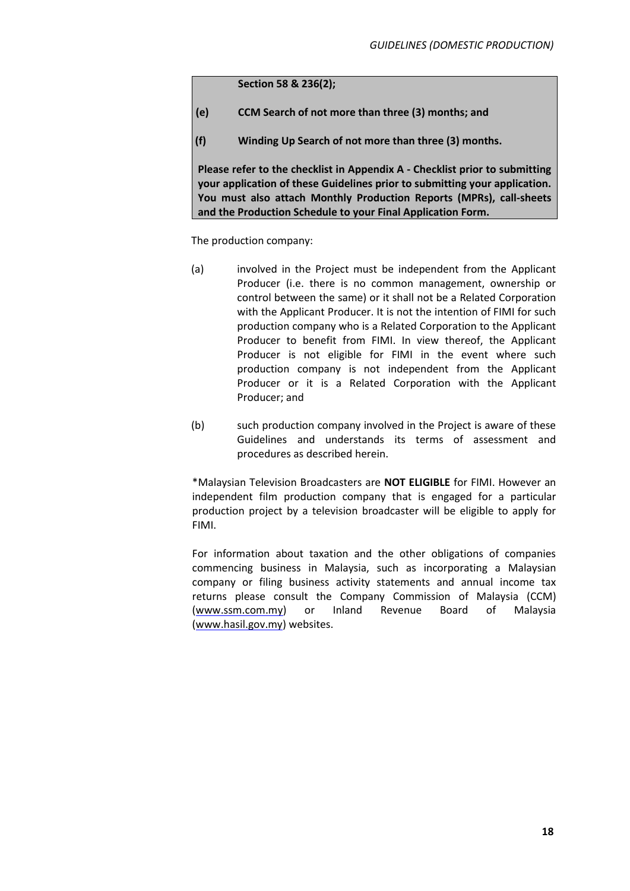**Section 58 & 236(2);**

- **(e) CCM Search of not more than three (3) months; and**
- **(f) Winding Up Search of not more than three (3) months.**

**Please refer to the checklist in Appendix A - Checklist prior to submitting your application of these Guidelines prior to submitting your application. You must also attach Monthly Production Reports (MPRs), call-sheets and the Production Schedule to your Final Application Form.**

The production company:

- (a) involved in the Project must be independent from the Applicant Producer (i.e. there is no common management, ownership or control between the same) or it shall not be a Related Corporation with the Applicant Producer. It is not the intention of FIMI for such production company who is a Related Corporation to the Applicant Producer to benefit from FIMI. In view thereof, the Applicant Producer is not eligible for FIMI in the event where such production company is not independent from the Applicant Producer or it is a Related Corporation with the Applicant Producer; and
- (b) such production company involved in the Project is aware of these Guidelines and understands its terms of assessment and procedures as described herein.

\*Malaysian Television Broadcasters are **NOT ELIGIBLE** for FIMI. However an independent film production company that is engaged for a particular production project by a television broadcaster will be eligible to apply for FIMI.

For information about taxation and the other obligations of companies commencing business in Malaysia, such as incorporating a Malaysian company or filing business activity statements and annual income tax returns please consult the Company Commission of Malaysia (CCM) (www.ssm.com.my) or Inland Revenue Board of Malaysia (www.hasil.gov.my) websites.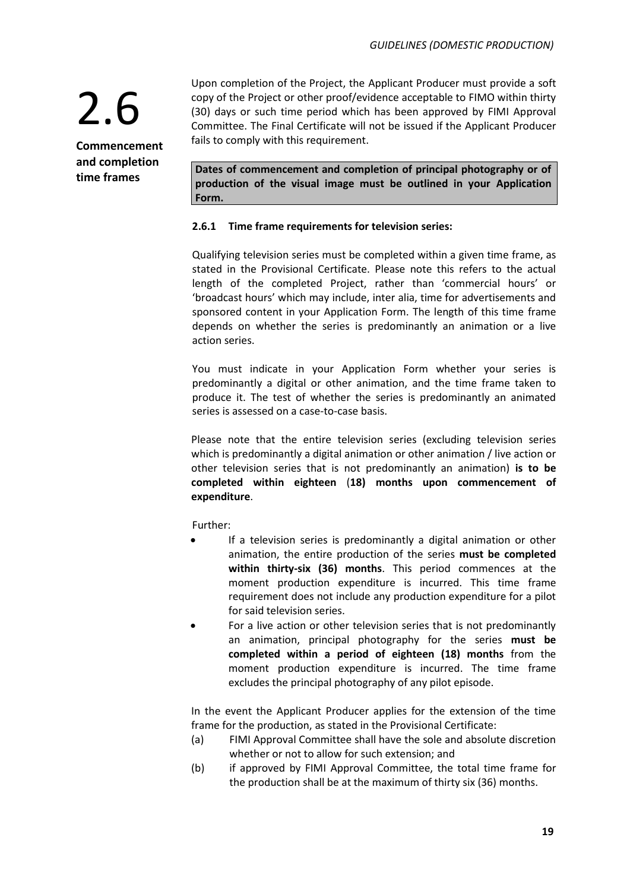**Commencement and completion time frames**

Upon completion of the Project, the Applicant Producer must provide a soft copy of the Project or other proof/evidence acceptable to FIMO within thirty (30) days or such time period which has been approved by FIMI Approval Committee. The Final Certificate will not be issued if the Applicant Producer fails to comply with this requirement.

**Dates of commencement and completion of principal photography or of production of the visual image must be outlined in your Application Form.**

### **2.6.1 Time frame requirements for television series:**

Qualifying television series must be completed within a given time frame, as stated in the Provisional Certificate. Please note this refers to the actual length of the completed Project, rather than 'commercial hours' or 'broadcast hours' which may include, inter alia, time for advertisements and sponsored content in your Application Form. The length of this time frame depends on whether the series is predominantly an animation or a live action series.

You must indicate in your Application Form whether your series is predominantly a digital or other animation, and the time frame taken to produce it. The test of whether the series is predominantly an animated series is assessed on a case-to-case basis.

Please note that the entire television series (excluding television series which is predominantly a digital animation or other animation / live action or other television series that is not predominantly an animation) **is to be completed within eighteen** (**18) months upon commencement of expenditure**.

Further:

- If a television series is predominantly a digital animation or other animation, the entire production of the series **must be completed within thirty-six (36) months**. This period commences at the moment production expenditure is incurred. This time frame requirement does not include any production expenditure for a pilot for said television series.
- For a live action or other television series that is not predominantly an animation, principal photography for the series **must be completed within a period of eighteen (18) months** from the moment production expenditure is incurred. The time frame excludes the principal photography of any pilot episode.

In the event the Applicant Producer applies for the extension of the time frame for the production, as stated in the Provisional Certificate:

- (a) FIMI Approval Committee shall have the sole and absolute discretion whether or not to allow for such extension; and
- (b) if approved by FIMI Approval Committee, the total time frame for the production shall be at the maximum of thirty six (36) months.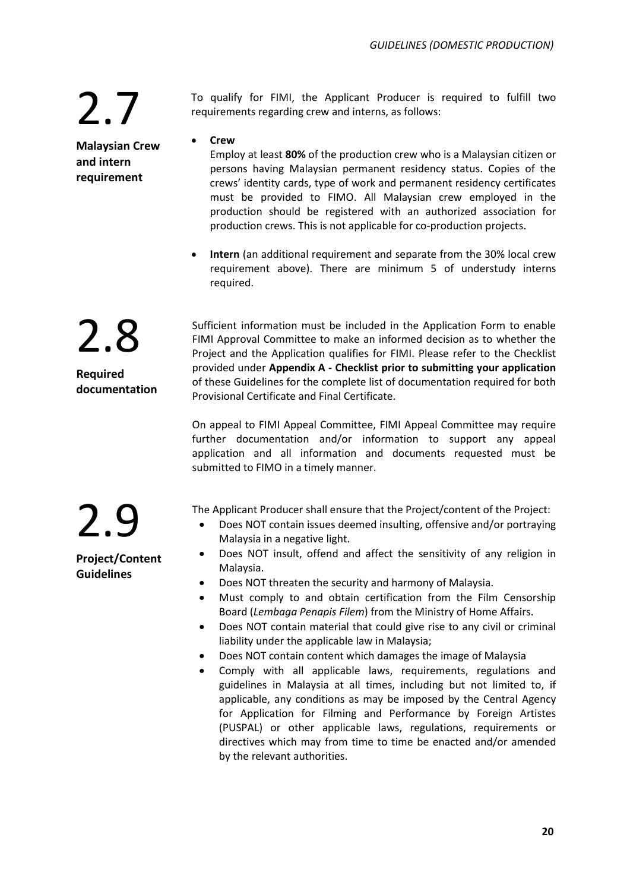**Malaysian Crew and intern requirement**

To qualify for FIMI, the Applicant Producer is required to fulfill two requirements regarding crew and interns, as follows:

• **Crew**

Employ at least **80%** of the production crew who is a Malaysian citizen or persons having Malaysian permanent residency status. Copies of the crews' identity cards, type of work and permanent residency certificates must be provided to FIMO. All Malaysian crew employed in the production should be registered with an authorized association for production crews. This is not applicable for co-production projects.

• **Intern** (an additional requirement and separate from the 30% local crew requirement above). There are minimum 5 of understudy interns required.

2.8 **Required documentation** Sufficient information must be included in the Application Form to enable FIMI Approval Committee to make an informed decision as to whether the Project and the Application qualifies for FIMI. Please refer to the Checklist provided under **Appendix A - Checklist prior to submitting your application** of these Guidelines for the complete list of documentation required for both Provisional Certificate and Final Certificate.

On appeal to FIMI Appeal Committee, FIMI Appeal Committee may require further documentation and/or information to support any appeal application and all information and documents requested must be submitted to FIMO in a timely manner.

The Applicant Producer shall ensure that the Project/content of the Project:

- Does NOT contain issues deemed insulting, offensive and/or portraying Malaysia in a negative light.
- Does NOT insult, offend and affect the sensitivity of any religion in Malaysia.
- Does NOT threaten the security and harmony of Malaysia.
- Must comply to and obtain certification from the Film Censorship Board (*Lembaga Penapis Filem*) from the Ministry of Home Affairs.
- Does NOT contain material that could give rise to any civil or criminal liability under the applicable law in Malaysia;
- Does NOT contain content which damages the image of Malaysia
- Comply with all applicable laws, requirements, regulations and guidelines in Malaysia at all times, including but not limited to, if applicable, any conditions as may be imposed by the Central Agency for Application for Filming and Performance by Foreign Artistes (PUSPAL) or other applicable laws, regulations, requirements or directives which may from time to time be enacted and/or amended by the relevant authorities.

**Project/Content Guidelines**

2.9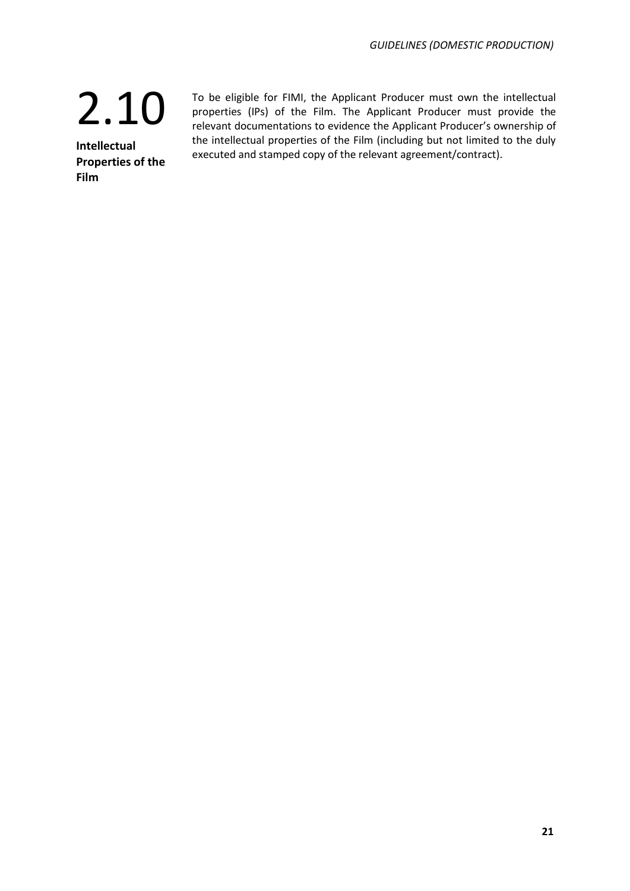**Intellectual Properties of the Film**

To be eligible for FIMI, the Applicant Producer must own the intellectual properties (IPs) of the Film. The Applicant Producer must provide the relevant documentations to evidence the Applicant Producer's ownership of the intellectual properties of the Film (including but not limited to the duly executed and stamped copy of the relevant agreement/contract).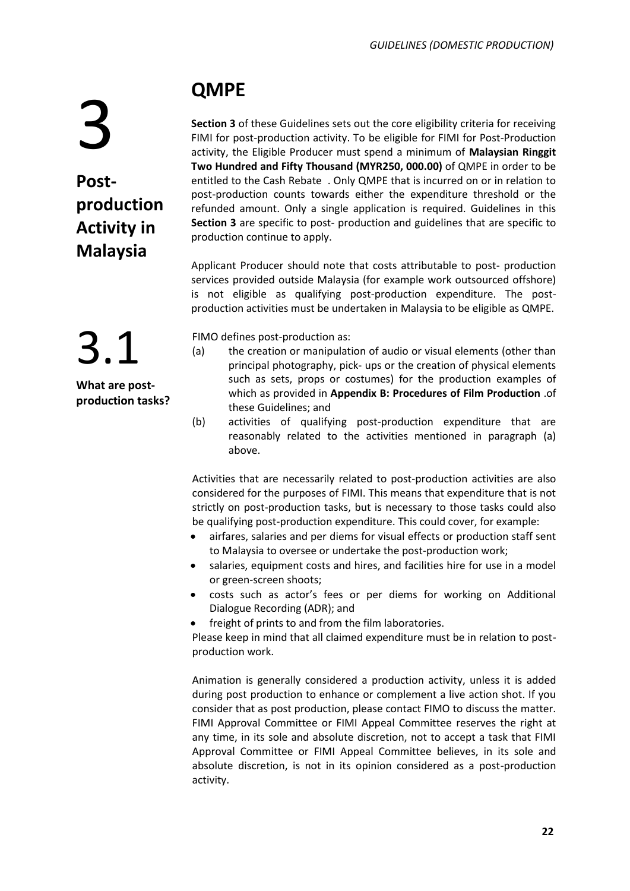# 3

**Postproduction Activity in Malaysia**

## **QMPE**

**Section 3** of these Guidelines sets out the core eligibility criteria for receiving FIMI for post-production activity. To be eligible for FIMI for Post-Production activity, the Eligible Producer must spend a minimum of **Malaysian Ringgit Two Hundred and Fifty Thousand (MYR250, 000.00)** of QMPE in order to be entitled to the Cash Rebate . Only QMPE that is incurred on or in relation to post-production counts towards either the expenditure threshold or the refunded amount. Only a single application is required. Guidelines in this **Section 3** are specific to post- production and guidelines that are specific to production continue to apply.

Applicant Producer should note that costs attributable to post- production services provided outside Malaysia (for example work outsourced offshore) is not eligible as qualifying post-production expenditure. The postproduction activities must be undertaken in Malaysia to be eligible as QMPE.

FIMO defines post-production as:

- (a) the creation or manipulation of audio or visual elements (other than principal photography, pick- ups or the creation of physical elements such as sets, props or costumes) for the production examples of which as provided in **Appendix B: Procedures of Film Production** .of these Guidelines; and
- (b) activities of qualifying post-production expenditure that are reasonably related to the activities mentioned in paragraph (a) above.

Activities that are necessarily related to post-production activities are also considered for the purposes of FIMI. This means that expenditure that is not strictly on post-production tasks, but is necessary to those tasks could also be qualifying post-production expenditure. This could cover, for example:

- airfares, salaries and per diems for visual effects or production staff sent to Malaysia to oversee or undertake the post-production work;
- salaries, equipment costs and hires, and facilities hire for use in a model or green-screen shoots;
- costs such as actor's fees or per diems for working on Additional Dialogue Recording (ADR); and
- freight of prints to and from the film laboratories.

Please keep in mind that all claimed expenditure must be in relation to postproduction work.

Animation is generally considered a production activity, unless it is added during post production to enhance or complement a live action shot. If you consider that as post production, please contact FIMO to discuss the matter. FIMI Approval Committee or FIMI Appeal Committee reserves the right at any time, in its sole and absolute discretion, not to accept a task that FIMI Approval Committee or FIMI Appeal Committee believes, in its sole and absolute discretion, is not in its opinion considered as a post-production activity.

3.1 **What are postproduction tasks?**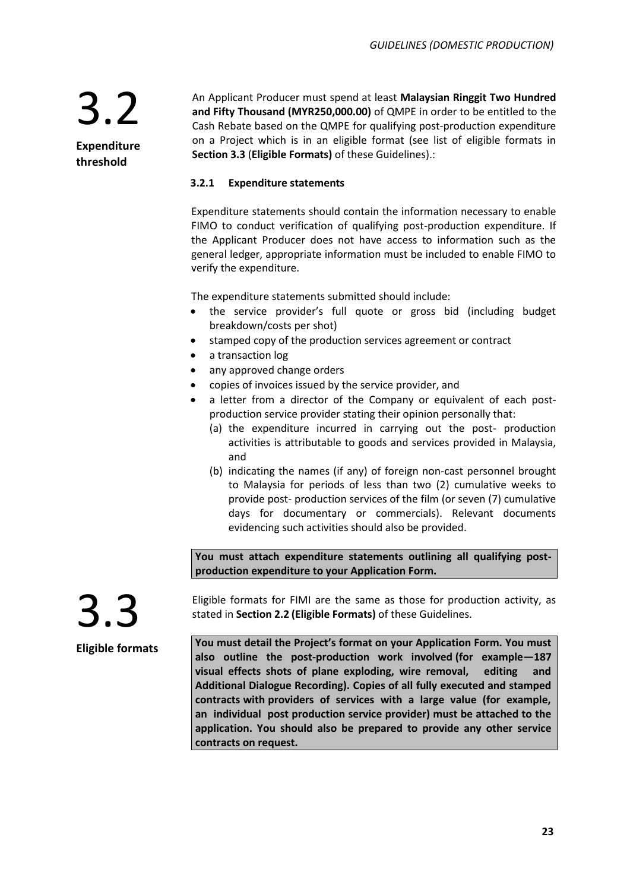3.2 **Expenditure** 

**threshold**

An Applicant Producer must spend at least **Malaysian Ringgit Two Hundred and Fifty Thousand (MYR250,000.00)** of QMPE in order to be entitled to the Cash Rebate based on the QMPE for qualifying post-production expenditure on a Project which is in an eligible format (see list of eligible formats in **Section 3.3** (**Eligible Formats)** of these Guidelines).:

### **3.2.1 Expenditure statements**

Expenditure statements should contain the information necessary to enable FIMO to conduct verification of qualifying post-production expenditure. If the Applicant Producer does not have access to information such as the general ledger, appropriate information must be included to enable FIMO to verify the expenditure.

The expenditure statements submitted should include:

- the service provider's full quote or gross bid (including budget breakdown/costs per shot)
- stamped copy of the production services agreement or contract
- a transaction log
- any approved change orders
- copies of invoices issued by the service provider, and
- a letter from a director of the Company or equivalent of each postproduction service provider stating their opinion personally that:
	- (a) the expenditure incurred in carrying out the post- production activities is attributable to goods and services provided in Malaysia, and
	- (b) indicating the names (if any) of foreign non-cast personnel brought to Malaysia for periods of less than two (2) cumulative weeks to provide post- production services of the film (or seven (7) cumulative days for documentary or commercials). Relevant documents evidencing such activities should also be provided.

**You must attach expenditure statements outlining all qualifying postproduction expenditure to your Application Form.**



**Eligible formats**

Eligible formats for FIMI are the same as those for production activity, as stated in **Section 2.2 (Eligible Formats)** of these Guidelines.

**You must detail the Project's format on your Application Form. You must also outline the post-production work involved (for example—187 visual effects shots of plane exploding, wire removal, editing and Additional Dialogue Recording). Copies of all fully executed and stamped contracts with providers of services with a large value (for example, an individual post production service provider) must be attached to the application. You should also be prepared to provide any other service contracts on request.**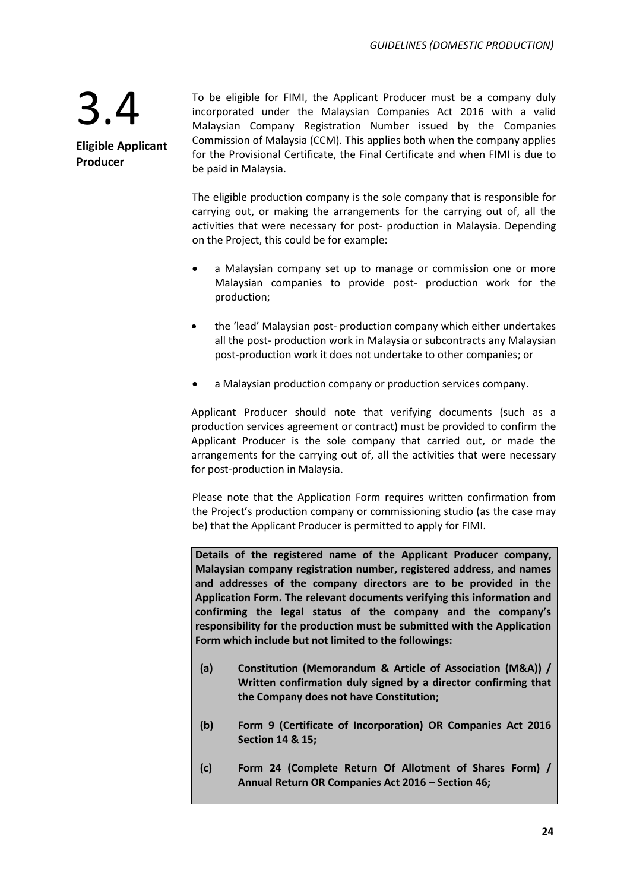**Eligible Applicant Producer**

To be eligible for FIMI, the Applicant Producer must be a company duly incorporated under the Malaysian Companies Act 2016 with a valid Malaysian Company Registration Number issued by the Companies Commission of Malaysia (CCM). This applies both when the company applies for the Provisional Certificate, the Final Certificate and when FIMI is due to be paid in Malaysia.

The eligible production company is the sole company that is responsible for carrying out, or making the arrangements for the carrying out of, all the activities that were necessary for post- production in Malaysia. Depending on the Project, this could be for example:

- a Malaysian company set up to manage or commission one or more Malaysian companies to provide post- production work for the production;
- the 'lead' Malaysian post- production company which either undertakes all the post- production work in Malaysia or subcontracts any Malaysian post-production work it does not undertake to other companies; or
- a Malaysian production company or production services company.

Applicant Producer should note that verifying documents (such as a production services agreement or contract) must be provided to confirm the Applicant Producer is the sole company that carried out, or made the arrangements for the carrying out of, all the activities that were necessary for post-production in Malaysia.

Please note that the Application Form requires written confirmation from the Project's production company or commissioning studio (as the case may be) that the Applicant Producer is permitted to apply for FIMI.

**Details of the registered name of the Applicant Producer company, Malaysian company registration number, registered address, and names and addresses of the company directors are to be provided in the Application Form. The relevant documents verifying this information and confirming the legal status of the company and the company's responsibility for the production must be submitted with the Application Form which include but not limited to the followings:**

- **(a) Constitution (Memorandum & Article of Association (M&A)) / Written confirmation duly signed by a director confirming that the Company does not have Constitution;**
- **(b) Form 9 (Certificate of Incorporation) OR Companies Act 2016 Section 14 & 15;**
- **(c) Form 24 (Complete Return Of Allotment of Shares Form) / Annual Return OR Companies Act 2016 – Section 46;**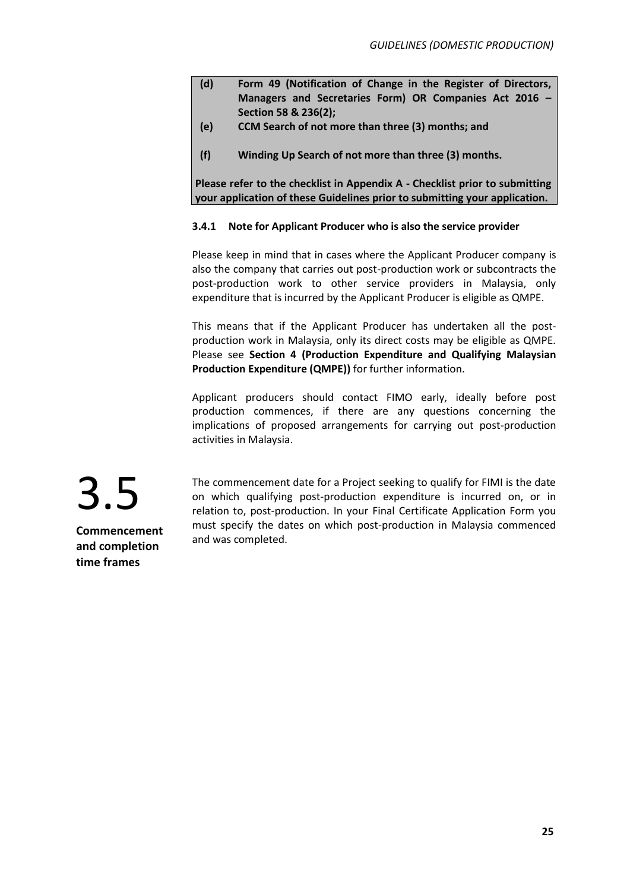- **(d) Form 49 (Notification of Change in the Register of Directors, Managers and Secretaries Form) OR Companies Act 2016 – Section 58 & 236(2);**
- **(e) CCM Search of not more than three (3) months; and**
- (f) Winding Up Search of not more than three (3) months.

**Please refer to the checklist in Appendix A - Checklist prior to submitting your application of these Guidelines prior to submitting your application.**

### **3.4.1 Note for Applicant Producer who is also the service provider**

Please keep in mind that in cases where the Applicant Producer company is also the company that carries out post-production work or subcontracts the post-production work to other service providers in Malaysia, only expenditure that is incurred by the Applicant Producer is eligible as QMPE.

This means that if the Applicant Producer has undertaken all the postproduction work in Malaysia, only its direct costs may be eligible as QMPE. Please see **Section 4 (Production Expenditure and Qualifying Malaysian Production Expenditure (QMPE))** for further information.

Applicant producers should contact FIMO early, ideally before post production commences, if there are any questions concerning the implications of proposed arrangements for carrying out post-production activities in Malaysia.



The commencement date for a Project seeking to qualify for FIMI is the date on which qualifying post-production expenditure is incurred on, or in relation to, post-production. In your Final Certificate Application Form you must specify the dates on which post-production in Malaysia commenced and was completed.

**Commencement and completion time frames**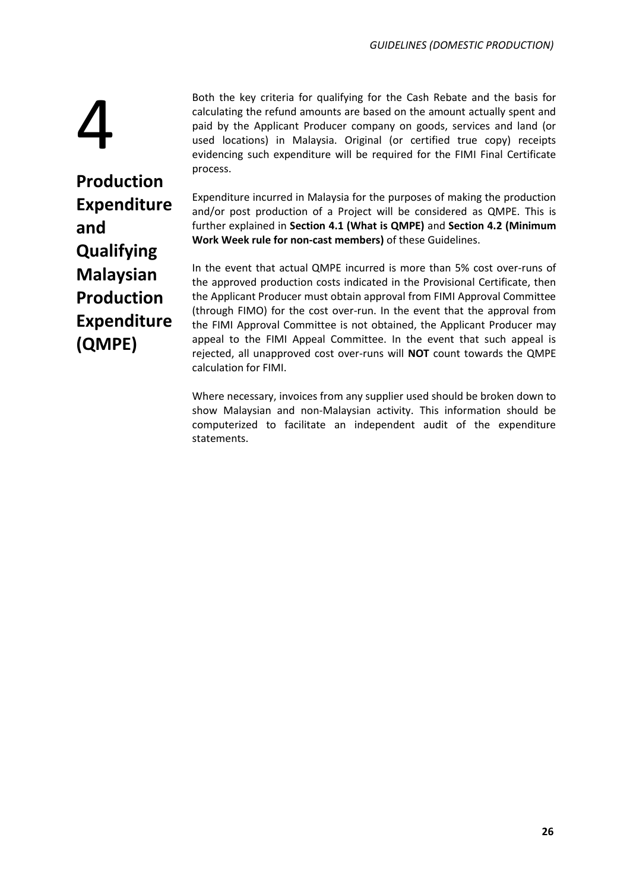Both the key criteria for qualifying for the Cash Rebate and the basis for calculating the refund amounts are based on the amount actually spent and paid by the Applicant Producer company on goods, services and land (or used locations) in Malaysia. Original (or certified true copy) receipts evidencing such expenditure will be required for the FIMI Final Certificate process.

4 **Production Expenditure and Qualifying Malaysian Production Expenditure (QMPE)**

Expenditure incurred in Malaysia for the purposes of making the production and/or post production of a Project will be considered as QMPE. This is further explained in **Section 4.1 (What is QMPE)** and **Section 4.2 (Minimum Work Week rule for non-cast members)** of these Guidelines.

In the event that actual QMPE incurred is more than 5% cost over-runs of the approved production costs indicated in the Provisional Certificate, then the Applicant Producer must obtain approval from FIMI Approval Committee (through FIMO) for the cost over-run. In the event that the approval from the FIMI Approval Committee is not obtained, the Applicant Producer may appeal to the FIMI Appeal Committee. In the event that such appeal is rejected, all unapproved cost over-runs will **NOT** count towards the QMPE calculation for FIMI.

Where necessary, invoices from any supplier used should be broken down to show Malaysian and non-Malaysian activity. This information should be computerized to facilitate an independent audit of the expenditure statements.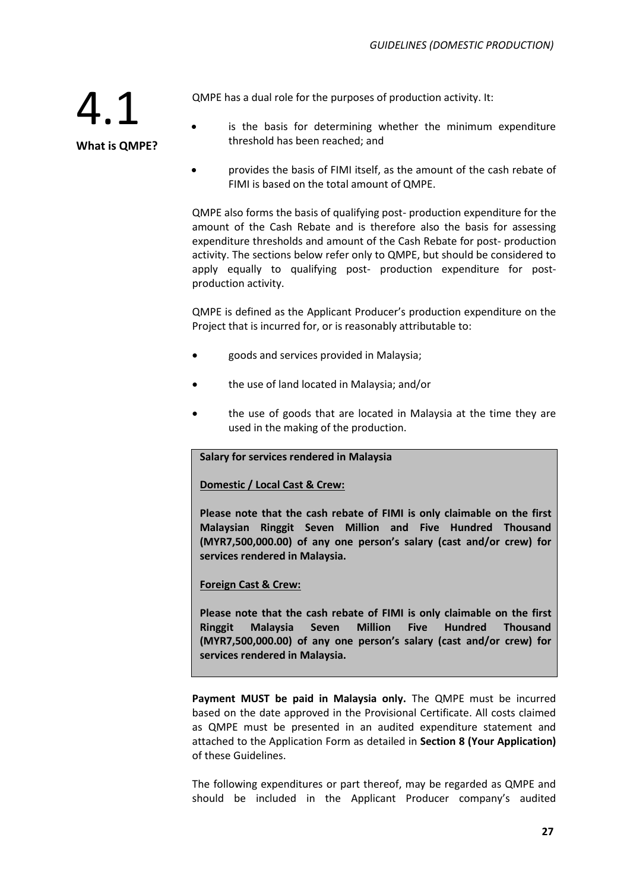QMPE has a dual role for the purposes of production activity. It:

4.1

**What is QMPE?**

- is the basis for determining whether the minimum expenditure threshold has been reached; and
- provides the basis of FIMI itself, as the amount of the cash rebate of FIMI is based on the total amount of QMPE.

QMPE also forms the basis of qualifying post- production expenditure for the amount of the Cash Rebate and is therefore also the basis for assessing expenditure thresholds and amount of the Cash Rebate for post- production activity. The sections below refer only to QMPE, but should be considered to apply equally to qualifying post- production expenditure for postproduction activity.

QMPE is defined as the Applicant Producer's production expenditure on the Project that is incurred for, or is reasonably attributable to:

- goods and services provided in Malaysia;
- the use of land located in Malaysia; and/or
- the use of goods that are located in Malaysia at the time they are used in the making of the production.

**Salary for services rendered in Malaysia**

**Domestic / Local Cast & Crew:**

**Please note that the cash rebate of FIMI is only claimable on the first Malaysian Ringgit Seven Million and Five Hundred Thousand (MYR7,500,000.00) of any one person's salary (cast and/or crew) for services rendered in Malaysia.**

**Foreign Cast & Crew:**

**Please note that the cash rebate of FIMI is only claimable on the first Ringgit Malaysia Seven Million Five Hundred Thousand (MYR7,500,000.00) of any one person's salary (cast and/or crew) for services rendered in Malaysia.**

Payment MUST be paid in Malaysia only. The QMPE must be incurred based on the date approved in the Provisional Certificate. All costs claimed as QMPE must be presented in an audited expenditure statement and attached to the Application Form as detailed in **Section 8 (Your Application)** of these Guidelines.

The following expenditures or part thereof, may be regarded as QMPE and should be included in the Applicant Producer company's audited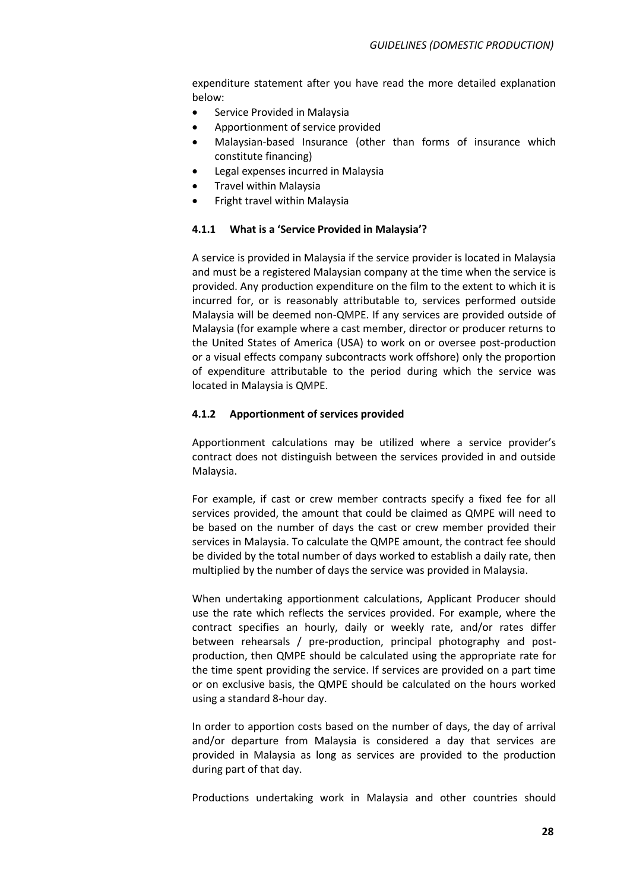expenditure statement after you have read the more detailed explanation below:

- Service Provided in Malaysia
- Apportionment of service provided
- Malaysian-based Insurance (other than forms of insurance which constitute financing)
- Legal expenses incurred in Malaysia
- Travel within Malaysia
- Fright travel within Malaysia

### **4.1.1 What is a 'Service Provided in Malaysia'?**

A service is provided in Malaysia if the service provider is located in Malaysia and must be a registered Malaysian company at the time when the service is provided. Any production expenditure on the film to the extent to which it is incurred for, or is reasonably attributable to, services performed outside Malaysia will be deemed non-QMPE. If any services are provided outside of Malaysia (for example where a cast member, director or producer returns to the United States of America (USA) to work on or oversee post-production or a visual effects company subcontracts work offshore) only the proportion of expenditure attributable to the period during which the service was located in Malaysia is QMPE.

### **4.1.2 Apportionment of services provided**

Apportionment calculations may be utilized where a service provider's contract does not distinguish between the services provided in and outside Malaysia.

For example, if cast or crew member contracts specify a fixed fee for all services provided, the amount that could be claimed as QMPE will need to be based on the number of days the cast or crew member provided their services in Malaysia. To calculate the QMPE amount, the contract fee should be divided by the total number of days worked to establish a daily rate, then multiplied by the number of days the service was provided in Malaysia.

When undertaking apportionment calculations, Applicant Producer should use the rate which reflects the services provided. For example, where the contract specifies an hourly, daily or weekly rate, and/or rates differ between rehearsals / pre-production, principal photography and postproduction, then QMPE should be calculated using the appropriate rate for the time spent providing the service. If services are provided on a part time or on exclusive basis, the QMPE should be calculated on the hours worked using a standard 8-hour day.

In order to apportion costs based on the number of days, the day of arrival and/or departure from Malaysia is considered a day that services are provided in Malaysia as long as services are provided to the production during part of that day.

Productions undertaking work in Malaysia and other countries should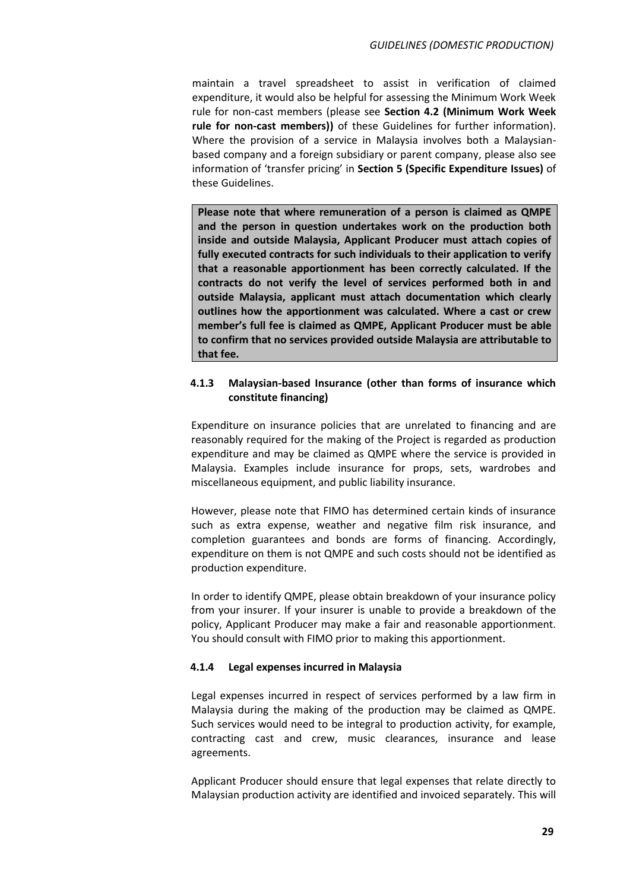maintain a travel spreadsheet to assist in verification of claimed expenditure, it would also be helpful for assessing the Minimum Work Week rule for non-cast members (please see **Section 4.2 (Minimum Work Week rule for non-cast members))** of these Guidelines for further information). Where the provision of a service in Malaysia involves both a Malaysianbased company and a foreign subsidiary or parent company, please also see information of 'transfer pricing' in **Section 5 (Specific Expenditure Issues)** of these Guidelines.

**Please note that where remuneration of a person is claimed as QMPE and the person in question undertakes work on the production both inside and outside Malaysia, Applicant Producer must attach copies of fully executed contracts for such individuals to their application to verify that a reasonable apportionment has been correctly calculated. If the contracts do not verify the level of services performed both in and outside Malaysia, applicant must attach documentation which clearly outlines how the apportionment was calculated. Where a cast or crew member's full fee is claimed as QMPE, Applicant Producer must be able to confirm that no services provided outside Malaysia are attributable to that fee.**

### **4.1.3 Malaysian-based Insurance (other than forms of insurance which constitute financing)**

Expenditure on insurance policies that are unrelated to financing and are reasonably required for the making of the Project is regarded as production expenditure and may be claimed as QMPE where the service is provided in Malaysia. Examples include insurance for props, sets, wardrobes and miscellaneous equipment, and public liability insurance.

However, please note that FIMO has determined certain kinds of insurance such as extra expense, weather and negative film risk insurance, and completion guarantees and bonds are forms of financing. Accordingly, expenditure on them is not QMPE and such costs should not be identified as production expenditure.

In order to identify QMPE, please obtain breakdown of your insurance policy from your insurer. If your insurer is unable to provide a breakdown of the policy, Applicant Producer may make a fair and reasonable apportionment. You should consult with FIMO prior to making this apportionment.

### **4.1.4 Legal expenses incurred in Malaysia**

Legal expenses incurred in respect of services performed by a law firm in Malaysia during the making of the production may be claimed as QMPE. Such services would need to be integral to production activity, for example, contracting cast and crew, music clearances, insurance and lease agreements.

Applicant Producer should ensure that legal expenses that relate directly to Malaysian production activity are identified and invoiced separately. This will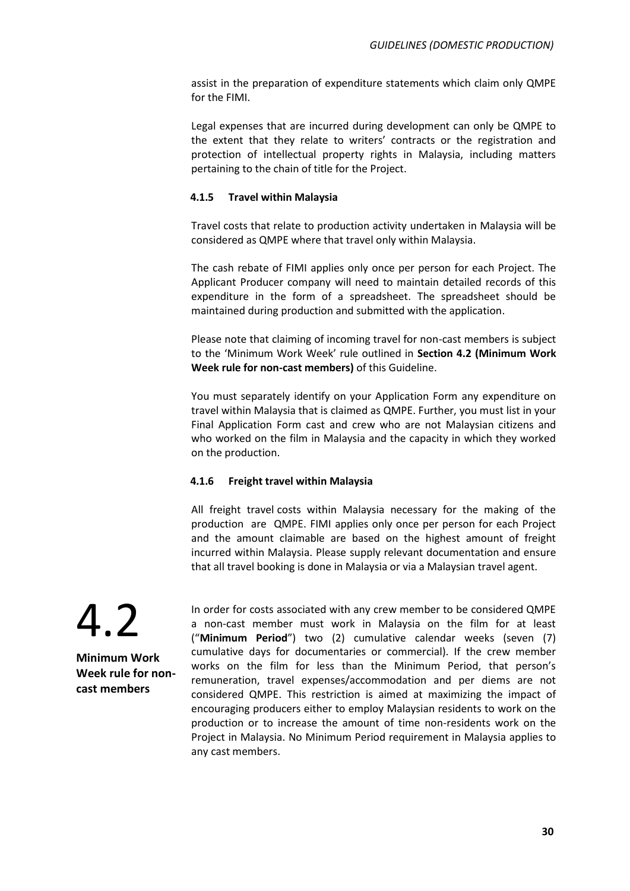assist in the preparation of expenditure statements which claim only QMPE for the FIMI.

Legal expenses that are incurred during development can only be QMPE to the extent that they relate to writers' contracts or the registration and protection of intellectual property rights in Malaysia, including matters pertaining to the chain of title for the Project.

### **4.1.5 Travel within Malaysia**

Travel costs that relate to production activity undertaken in Malaysia will be considered as QMPE where that travel only within Malaysia.

The cash rebate of FIMI applies only once per person for each Project. The Applicant Producer company will need to maintain detailed records of this expenditure in the form of a spreadsheet. The spreadsheet should be maintained during production and submitted with the application.

Please note that claiming of incoming travel for non-cast members is subject to the 'Minimum Work Week' rule outlined in **Section 4.2 (Minimum Work Week rule for non-cast members)** of this Guideline.

You must separately identify on your Application Form any expenditure on travel within Malaysia that is claimed as QMPE. Further, you must list in your Final Application Form cast and crew who are not Malaysian citizens and who worked on the film in Malaysia and the capacity in which they worked on the production.

### **4.1.6 Freight travel within Malaysia**

All freight travel costs within Malaysia necessary for the making of the production are QMPE. FIMI applies only once per person for each Project and the amount claimable are based on the highest amount of freight incurred within Malaysia. Please supply relevant documentation and ensure that all travel booking is done in Malaysia or via a Malaysian travel agent.

4.2 **Minimum Work** 

**Week rule for noncast members**

In order for costs associated with any crew member to be considered QMPE a non-cast member must work in Malaysia on the film for at least ("**Minimum Period**") two (2) cumulative calendar weeks (seven (7) cumulative days for documentaries or commercial). If the crew member works on the film for less than the Minimum Period, that person's remuneration, travel expenses/accommodation and per diems are not considered QMPE. This restriction is aimed at maximizing the impact of encouraging producers either to employ Malaysian residents to work on the production or to increase the amount of time non-residents work on the Project in Malaysia. No Minimum Period requirement in Malaysia applies to any cast members.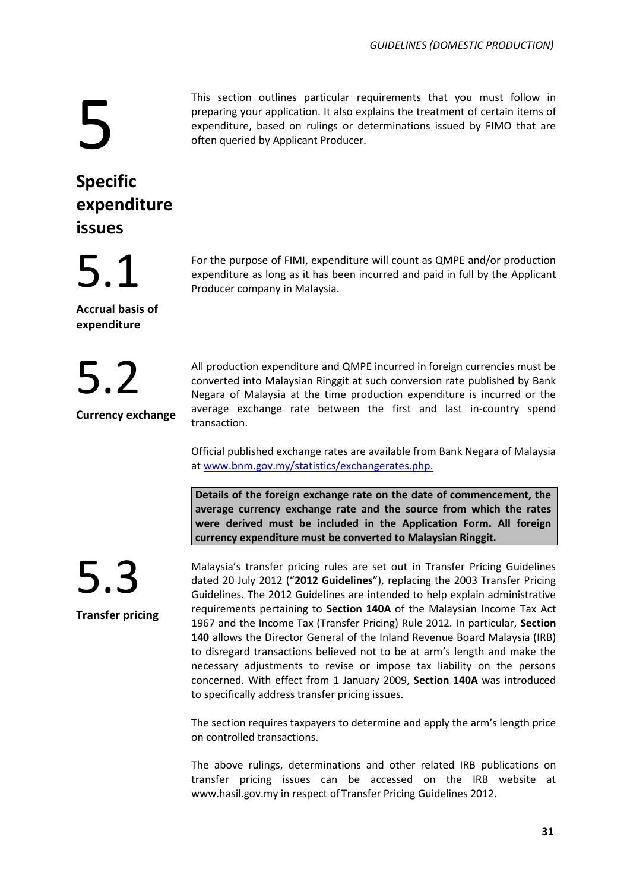# 5

This section outlines particular requirements that you must follow in preparing your application. It also explains the treatment of certain items of expenditure, based on rulings or determinations issued by FIMO that are often queried by Applicant Producer.

## **Specific expenditure issues**

5.1

**Accrual basis of expenditure**

5.2

**Currency exchange**

For the purpose of FIMI, expenditure will count as QMPE and/or production expenditure as long as it has been incurred and paid in full by the Applicant Producer company in Malaysia.

All production expenditure and QMPE incurred in foreign currencies must be converted into Malaysian Ringgit at such conversion rate published by Bank Negara of Malaysia at the time production expenditure is incurred or the average exchange rate between the first and last in-country spend transaction.

Official published exchange rates are available from Bank Negara of Malaysia at [www.bnm.gov.my/statistics/exchangerates.php.](http://www.bnm.gov.my/statistics/exchangerates.php.)

**Details of the foreign exchange rate on the date of commencement, the average currency exchange rate and the source from which the rates were derived must be included in the Application Form. All foreign currency expenditure must be converted to Malaysian Ringgit.**



**Transfer pricing**

Malaysia's transfer pricing rules are set out in Transfer Pricing Guidelines dated 20 July 2012 ("**2012 Guidelines**"), replacing the 2003 Transfer Pricing Guidelines. The 2012 Guidelines are intended to help explain administrative requirements pertaining to **Section 140A** of the Malaysian Income Tax Act 1967 and the Income Tax (Transfer Pricing) Rule 2012. In particular, **Section 140** allows the Director General of the Inland Revenue Board Malaysia (IRB) to disregard transactions believed not to be at arm's length and make the necessary adjustments to revise or impose tax liability on the persons concerned. With effect from 1 January 2009, **Section 140A** was introduced to specifically address transfer pricing issues.

The section requires taxpayers to determine and apply the arm's length price on controlled transactions.

The above rulings, determinations and other related IRB publications on transfer pricing issues can be accessed on the IRB website at www.hasil.gov.my in respect of Transfer Pricing Guidelines 2012.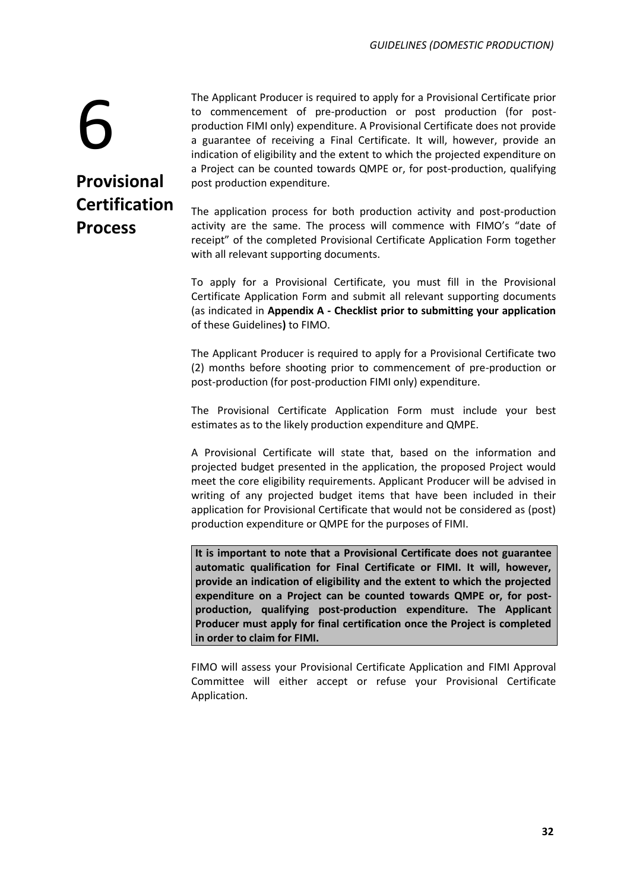6 **Provisional Certification Process**

The Applicant Producer is required to apply for a Provisional Certificate prior to commencement of pre-production or post production (for postproduction FIMI only) expenditure. A Provisional Certificate does not provide a guarantee of receiving a Final Certificate. It will, however, provide an indication of eligibility and the extent to which the projected expenditure on a Project can be counted towards QMPE or, for post-production, qualifying post production expenditure.

The application process for both production activity and post-production activity are the same. The process will commence with FIMO's "date of receipt" of the completed Provisional Certificate Application Form together with all relevant supporting documents.

To apply for a Provisional Certificate, you must fill in the Provisional Certificate Application Form and submit all relevant supporting documents (as indicated in **Appendix A - Checklist prior to submitting your application**  of these Guidelines**)** to FIMO.

The Applicant Producer is required to apply for a Provisional Certificate two (2) months before shooting prior to commencement of pre-production or post-production (for post-production FIMI only) expenditure.

The Provisional Certificate Application Form must include your best estimates as to the likely production expenditure and QMPE.

A Provisional Certificate will state that, based on the information and projected budget presented in the application, the proposed Project would meet the core eligibility requirements. Applicant Producer will be advised in writing of any projected budget items that have been included in their application for Provisional Certificate that would not be considered as (post) production expenditure or QMPE for the purposes of FIMI.

**It is important to note that a Provisional Certificate does not guarantee automatic qualification for Final Certificate or FIMI. It will, however, provide an indication of eligibility and the extent to which the projected expenditure on a Project can be counted towards QMPE or, for postproduction, qualifying post-production expenditure. The Applicant Producer must apply for final certification once the Project is completed in order to claim for FIMI.**

FIMO will assess your Provisional Certificate Application and FIMI Approval Committee will either accept or refuse your Provisional Certificate Application.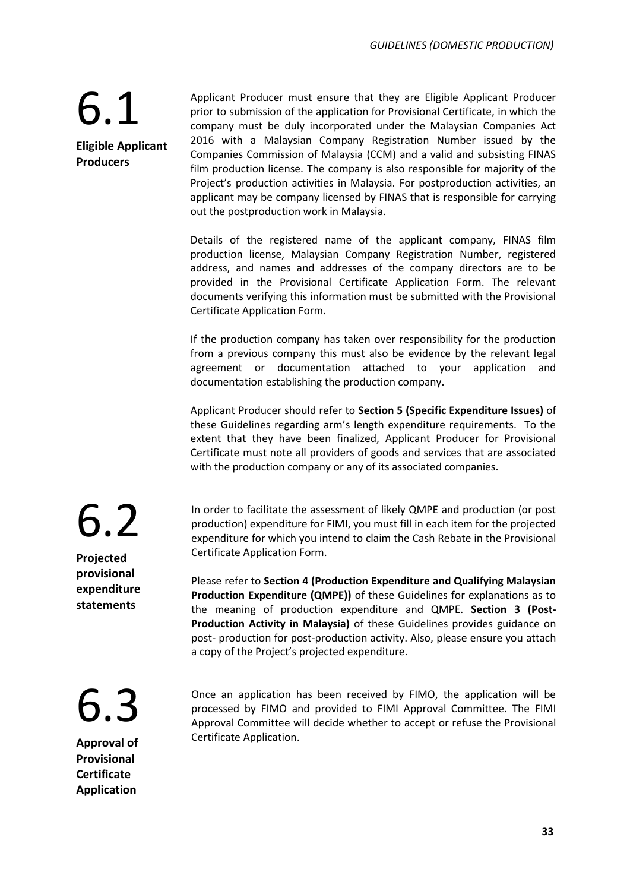## 6.1 **Eligible Applicant Producers**

Applicant Producer must ensure that they are Eligible Applicant Producer prior to submission of the application for Provisional Certificate, in which the company must be duly incorporated under the Malaysian Companies Act 2016 with a Malaysian Company Registration Number issued by the Companies Commission of Malaysia (CCM) and a valid and subsisting FINAS film production license. The company is also responsible for majority of the Project's production activities in Malaysia. For postproduction activities, an applicant may be company licensed by FINAS that is responsible for carrying out the postproduction work in Malaysia.

Details of the registered name of the applicant company, FINAS film production license, Malaysian Company Registration Number, registered address, and names and addresses of the company directors are to be provided in the Provisional Certificate Application Form. The relevant documents verifying this information must be submitted with the Provisional Certificate Application Form.

If the production company has taken over responsibility for the production from a previous company this must also be evidence by the relevant legal agreement or documentation attached to your application and documentation establishing the production company.

Applicant Producer should refer to **Section 5 (Specific Expenditure Issues)** of these Guidelines regarding arm's length expenditure requirements. To the extent that they have been finalized, Applicant Producer for Provisional Certificate must note all providers of goods and services that are associated with the production company or any of its associated companies.

In order to facilitate the assessment of likely QMPE and production (or post production) expenditure for FIMI, you must fill in each item for the projected expenditure for which you intend to claim the Cash Rebate in the Provisional Certificate Application Form.

Please refer to **Section 4 (Production Expenditure and Qualifying Malaysian Production Expenditure (QMPE))** of these Guidelines for explanations as to the meaning of production expenditure and QMPE. **Section 3 (Post-Production Activity in Malaysia)** of these Guidelines provides guidance on post- production for post-production activity. Also, please ensure you attach a copy of the Project's projected expenditure.

6.3

**Approval of Provisional Certificate Application**

Once an application has been received by FIMO, the application will be processed by FIMO and provided to FIMI Approval Committee. The FIMI Approval Committee will decide whether to accept or refuse the Provisional Certificate Application.

6.2

**Projected provisional expenditure statements**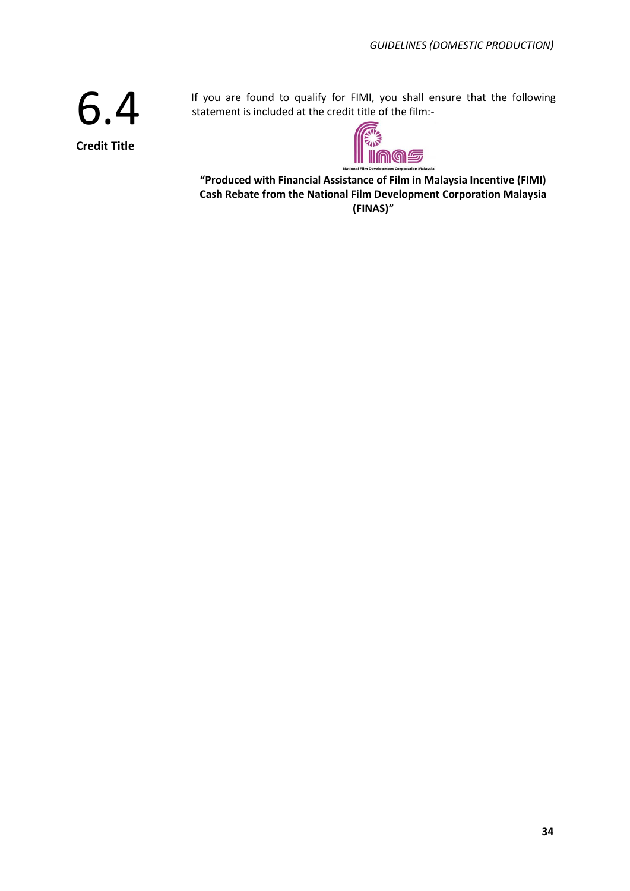6.4 **Credit Title**

If you are found to qualify for FIMI, you shall ensure that the following statement is included at the credit title of the film:-



**"Produced with Financial Assistance of Film in Malaysia Incentive (FIMI) Cash Rebate from the National Film Development Corporation Malaysia (FINAS)"**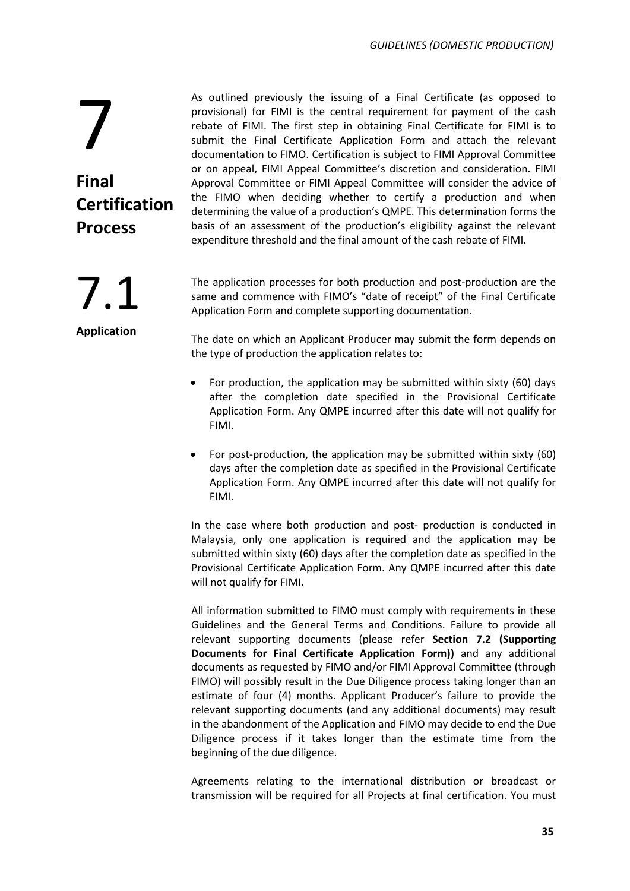As outlined previously the issuing of a Final Certificate (as opposed to provisional) for FIMI is the central requirement for payment of the cash rebate of FIMI. The first step in obtaining Final Certificate for FIMI is to submit the Final Certificate Application Form and attach the relevant documentation to FIMO. Certification is subject to FIMI Approval Committee or on appeal, FIMI Appeal Committee's discretion and consideration. FIMI Approval Committee or FIMI Appeal Committee will consider the advice of the FIMO when deciding whether to certify a production and when determining the value of a production's QMPE. This determination forms the basis of an assessment of the production's eligibility against the relevant expenditure threshold and the final amount of the cash rebate of FIMI.

The application processes for both production and post-production are the same and commence with FIMO's "date of receipt" of the Final Certificate Application Form and complete supporting documentation.

The date on which an Applicant Producer may submit the form depends on the type of production the application relates to:

- For production, the application may be submitted within sixty (60) days after the completion date specified in the Provisional Certificate Application Form. Any QMPE incurred after this date will not qualify for FIMI.
- For post-production, the application may be submitted within sixty (60) days after the completion date as specified in the Provisional Certificate Application Form. Any QMPE incurred after this date will not qualify for FIMI.

In the case where both production and post- production is conducted in Malaysia, only one application is required and the application may be submitted within sixty (60) days after the completion date as specified in the Provisional Certificate Application Form. Any QMPE incurred after this date will not qualify for FIMI.

All information submitted to FIMO must comply with requirements in these Guidelines and the General Terms and Conditions. Failure to provide all relevant supporting documents (please refer **Section 7.2 (Supporting Documents for Final Certificate Application Form))** and any additional documents as requested by FIMO and/or FIMI Approval Committee (through FIMO) will possibly result in the Due Diligence process taking longer than an estimate of four (4) months. Applicant Producer's failure to provide the relevant supporting documents (and any additional documents) may result in the abandonment of the Application and FIMO may decide to end the Due Diligence process if it takes longer than the estimate time from the beginning of the due diligence.

Agreements relating to the international distribution or broadcast or transmission will be required for all Projects at final certification. You must

7.1

**Process**

**Certification** 

7

**Final**

**Application**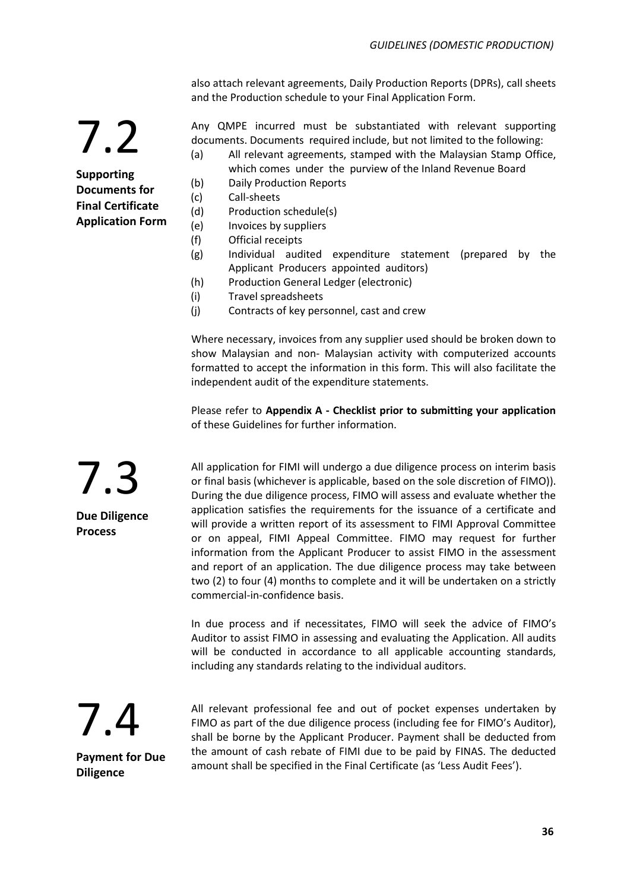also attach relevant agreements, Daily Production Reports (DPRs), call sheets and the Production schedule to your Final Application Form.

Any QMPE incurred must be substantiated with relevant supporting documents. Documents required include, but not limited to the following:

- (a) All relevant agreements, stamped with the Malaysian Stamp Office, which comes under the purview of the Inland Revenue Board
- (b) Daily Production Reports
- (c) Call-sheets
- (d) Production schedule(s)
- (e) Invoices by suppliers
- (f) Official receipts
- (g) Individual audited expenditure statement (prepared by the Applicant Producers appointed auditors)
- (h) Production General Ledger (electronic)
- (i) Travel spreadsheets
- (j) Contracts of key personnel, cast and crew

Where necessary, invoices from any supplier used should be broken down to show Malaysian and non- Malaysian activity with computerized accounts formatted to accept the information in this form. This will also facilitate the independent audit of the expenditure statements.

Please refer to **Appendix A - Checklist prior to submitting your application** of these Guidelines for further information.

All application for FIMI will undergo a due diligence process on interim basis or final basis (whichever is applicable, based on the sole discretion of FIMO)). During the due diligence process, FIMO will assess and evaluate whether the application satisfies the requirements for the issuance of a certificate and will provide a written report of its assessment to FIMI Approval Committee or on appeal, FIMI Appeal Committee. FIMO may request for further information from the Applicant Producer to assist FIMO in the assessment and report of an application. The due diligence process may take between two (2) to four (4) months to complete and it will be undertaken on a strictly commercial-in-confidence basis.

In due process and if necessitates, FIMO will seek the advice of FIMO's Auditor to assist FIMO in assessing and evaluating the Application. All audits will be conducted in accordance to all applicable accounting standards, including any standards relating to the individual auditors.

7.4

7.3

**Due Diligence** 

**Process** 

**Payment for Due Diligence**

All relevant professional fee and out of pocket expenses undertaken by FIMO as part of the due diligence process (including fee for FIMO's Auditor), shall be borne by the Applicant Producer. Payment shall be deducted from the amount of cash rebate of FIMI due to be paid by FINAS. The deducted amount shall be specified in the Final Certificate (as 'Less Audit Fees').

**Supporting Documents for Final Certificate Application Form**

7.2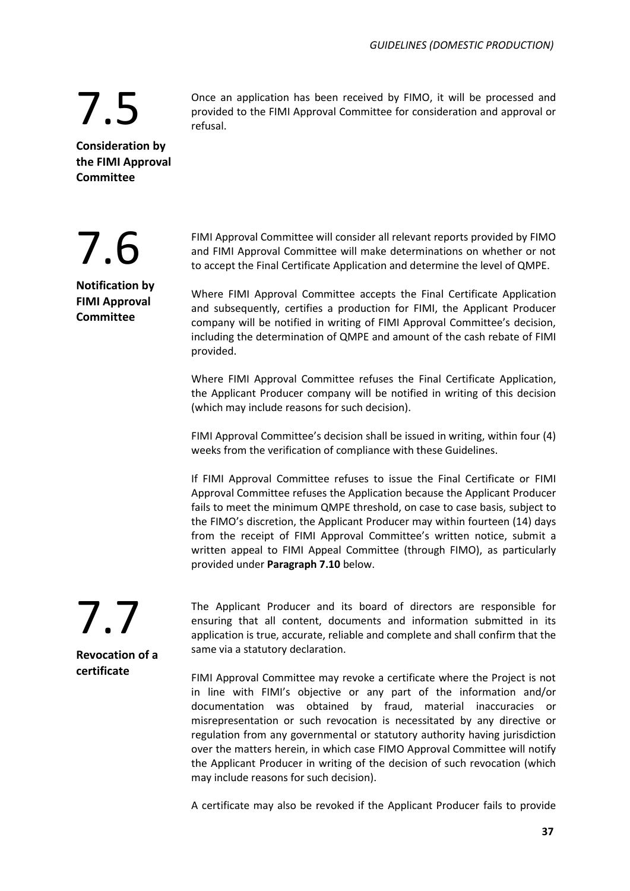Once an application has been received by FIMO, it will be processed and provided to the FIMI Approval Committee for consideration and approval or refusal.

**Consideration by the FIMI Approval Committee**

7.5

7.6

**Notification by FIMI Approval Committee**

FIMI Approval Committee will consider all relevant reports provided by FIMO and FIMI Approval Committee will make determinations on whether or not to accept the Final Certificate Application and determine the level of QMPE.

Where FIMI Approval Committee accepts the Final Certificate Application and subsequently, certifies a production for FIMI, the Applicant Producer company will be notified in writing of FIMI Approval Committee's decision, including the determination of QMPE and amount of the cash rebate of FIMI provided.

Where FIMI Approval Committee refuses the Final Certificate Application, the Applicant Producer company will be notified in writing of this decision (which may include reasons for such decision).

FIMI Approval Committee's decision shall be issued in writing, within four (4) weeks from the verification of compliance with these Guidelines.

If FIMI Approval Committee refuses to issue the Final Certificate or FIMI Approval Committee refuses the Application because the Applicant Producer fails to meet the minimum QMPE threshold, on case to case basis, subject to the FIMO's discretion, the Applicant Producer may within fourteen (14) days from the receipt of FIMI Approval Committee's written notice, submit a written appeal to FIMI Appeal Committee (through FIMO), as particularly provided under **Paragraph 7.10** below.

7.7 **Revocation of a certificate**

The Applicant Producer and its board of directors are responsible for ensuring that all content, documents and information submitted in its application is true, accurate, reliable and complete and shall confirm that the same via a statutory declaration.

FIMI Approval Committee may revoke a certificate where the Project is not in line with FIMI's objective or any part of the information and/or documentation was obtained by fraud, material inaccuracies or misrepresentation or such revocation is necessitated by any directive or regulation from any governmental or statutory authority having jurisdiction over the matters herein, in which case FIMO Approval Committee will notify the Applicant Producer in writing of the decision of such revocation (which may include reasons for such decision).

A certificate may also be revoked if the Applicant Producer fails to provide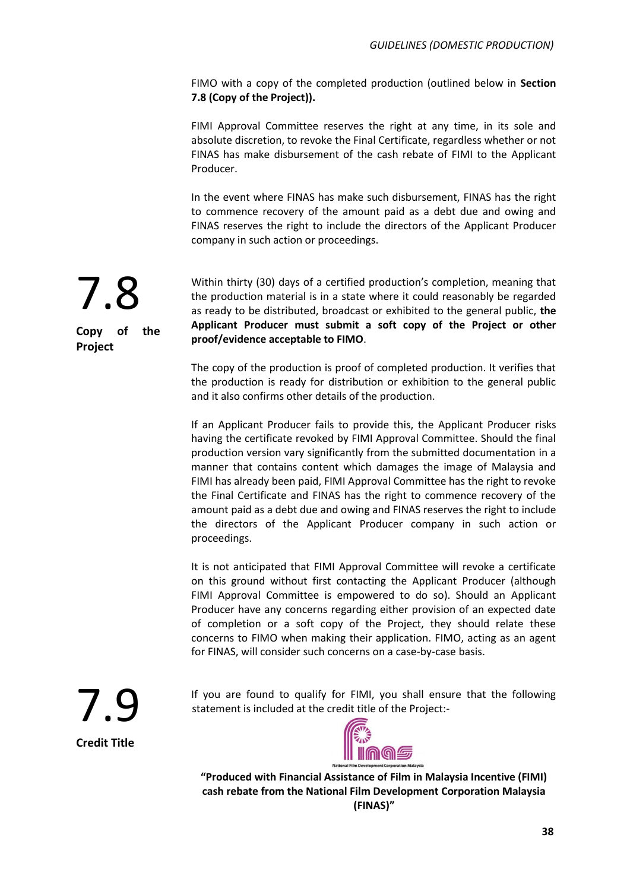FIMO with a copy of the completed production (outlined below in **Section 7.8 (Copy of the Project)).** 

FIMI Approval Committee reserves the right at any time, in its sole and absolute discretion, to revoke the Final Certificate, regardless whether or not FINAS has make disbursement of the cash rebate of FIMI to the Applicant Producer.

In the event where FINAS has make such disbursement, FINAS has the right to commence recovery of the amount paid as a debt due and owing and FINAS reserves the right to include the directors of the Applicant Producer company in such action or proceedings.



**Copy of the Project**

Within thirty (30) days of a certified production's completion, meaning that the production material is in a state where it could reasonably be regarded as ready to be distributed, broadcast or exhibited to the general public, **the Applicant Producer must submit a soft copy of the Project or other proof/evidence acceptable to FIMO**.

The copy of the production is proof of completed production. It verifies that the production is ready for distribution or exhibition to the general public and it also confirms other details of the production.

If an Applicant Producer fails to provide this, the Applicant Producer risks having the certificate revoked by FIMI Approval Committee. Should the final production version vary significantly from the submitted documentation in a manner that contains content which damages the image of Malaysia and FIMI has already been paid, FIMI Approval Committee has the right to revoke the Final Certificate and FINAS has the right to commence recovery of the amount paid as a debt due and owing and FINAS reserves the right to include the directors of the Applicant Producer company in such action or proceedings.

It is not anticipated that FIMI Approval Committee will revoke a certificate on this ground without first contacting the Applicant Producer (although FIMI Approval Committee is empowered to do so). Should an Applicant Producer have any concerns regarding either provision of an expected date of completion or a soft copy of the Project, they should relate these concerns to FIMO when making their application. FIMO, acting as an agent for FINAS, will consider such concerns on a case-by-case basis.

7.9 **Credit Title**

If you are found to qualify for FIMI, you shall ensure that the following statement is included at the credit title of the Project:-



**"Produced with Financial Assistance of Film in Malaysia Incentive (FIMI) cash rebate from the National Film Development Corporation Malaysia (FINAS)"**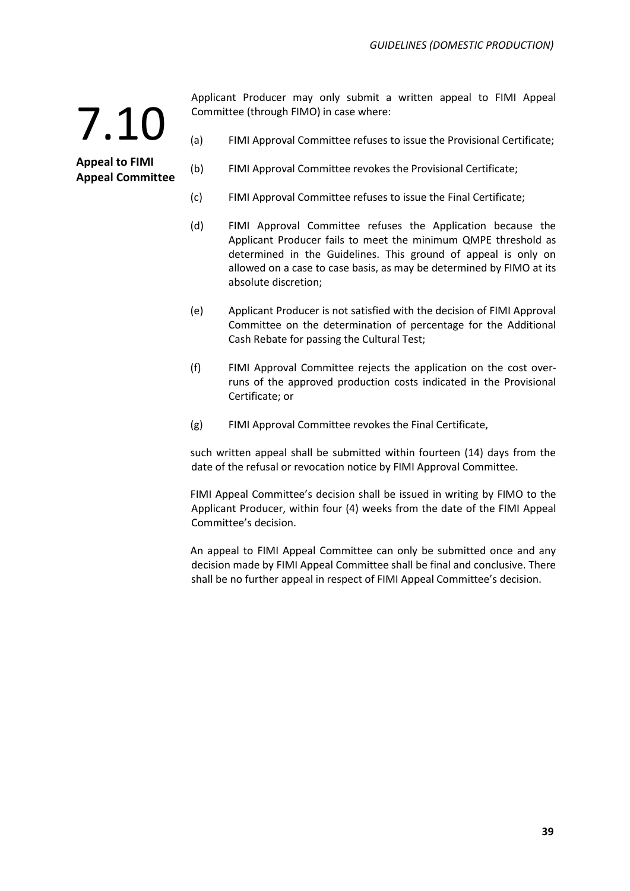**Appeal to FIMI Appeal Committee** Applicant Producer may only submit a written appeal to FIMI Appeal Committee (through FIMO) in case where:

- (a) FIMI Approval Committee refuses to issue the Provisional Certificate;
- (b) FIMI Approval Committee revokes the Provisional Certificate;
- (c) FIMI Approval Committee refuses to issue the Final Certificate;
- (d) FIMI Approval Committee refuses the Application because the Applicant Producer fails to meet the minimum QMPE threshold as determined in the Guidelines. This ground of appeal is only on allowed on a case to case basis, as may be determined by FIMO at its absolute discretion;
- (e) Applicant Producer is not satisfied with the decision of FIMI Approval Committee on the determination of percentage for the Additional Cash Rebate for passing the Cultural Test;
- (f) FIMI Approval Committee rejects the application on the cost overruns of the approved production costs indicated in the Provisional Certificate; or
- (g) FIMI Approval Committee revokes the Final Certificate,

such written appeal shall be submitted within fourteen (14) days from the date of the refusal or revocation notice by FIMI Approval Committee.

FIMI Appeal Committee's decision shall be issued in writing by FIMO to the Applicant Producer, within four (4) weeks from the date of the FIMI Appeal Committee's decision.

An appeal to FIMI Appeal Committee can only be submitted once and any decision made by FIMI Appeal Committee shall be final and conclusive. There shall be no further appeal in respect of FIMI Appeal Committee's decision.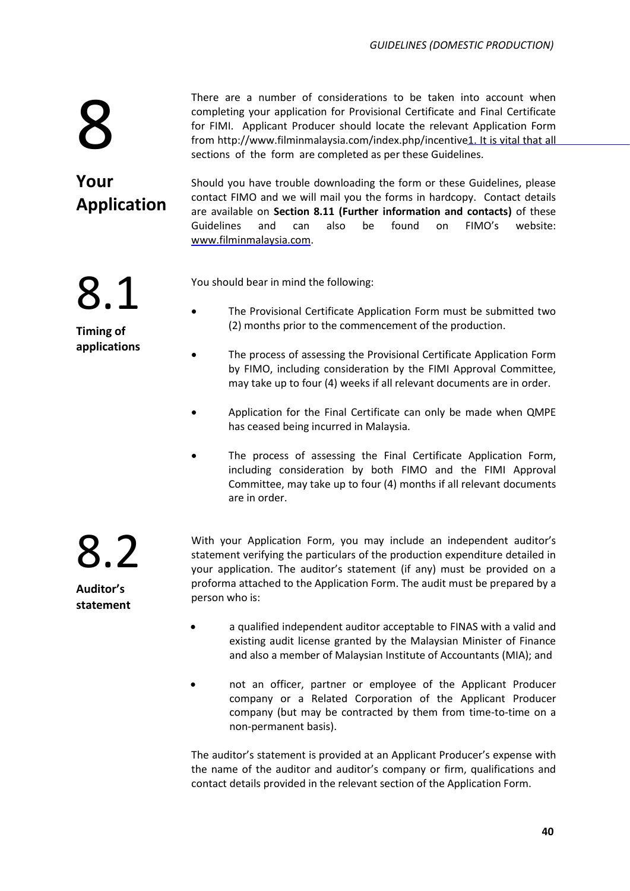There are a number of considerations to be taken into account when completing your application for Provisional Certificate and Final Certificate for FIMI. Applicant Producer should locate the relevant Application Form from [http://www.filminmalaysia.com/index.php/incentive1.](http://www.filminmalaysia.com/index.php/incentive1) It is vital that all sections of the form are completed as per these Guidelines.

**Your Application**

8.1

**Timing of applications**

8

Should you have trouble downloading the form or these Guidelines, please contact FIMO and we will mail you the forms in hardcopy. Contact details are available on **Section 8.11 (Further information and contacts)** of these Guidelines and can also be found on FIMO's website: [www.filminmalaysia.com.](http://www.filminmalaysia.com/)

You should bear in mind the following:

- The Provisional Certificate Application Form must be submitted two (2) months prior to the commencement of the production.
- The process of assessing the Provisional Certificate Application Form by FIMO, including consideration by the FIMI Approval Committee, may take up to four (4) weeks if all relevant documents are in order.
- Application for the Final Certificate can only be made when QMPE has ceased being incurred in Malaysia.
- The process of assessing the Final Certificate Application Form, including consideration by both FIMO and the FIMI Approval Committee, may take up to four (4) months if all relevant documents are in order.

8.2 **Auditor's statement**

With your Application Form, you may include an independent auditor's statement verifying the particulars of the production expenditure detailed in your application. The auditor's statement (if any) must be provided on a proforma attached to the Application Form. The audit must be prepared by a person who is:

- a qualified independent auditor acceptable to FINAS with a valid and existing audit license granted by the Malaysian Minister of Finance and also a member of Malaysian Institute of Accountants (MIA); and
- not an officer, partner or employee of the Applicant Producer company or a Related Corporation of the Applicant Producer company (but may be contracted by them from time-to-time on a non-permanent basis).

The auditor's statement is provided at an Applicant Producer's expense with the name of the auditor and auditor's company or firm, qualifications and contact details provided in the relevant section of the Application Form.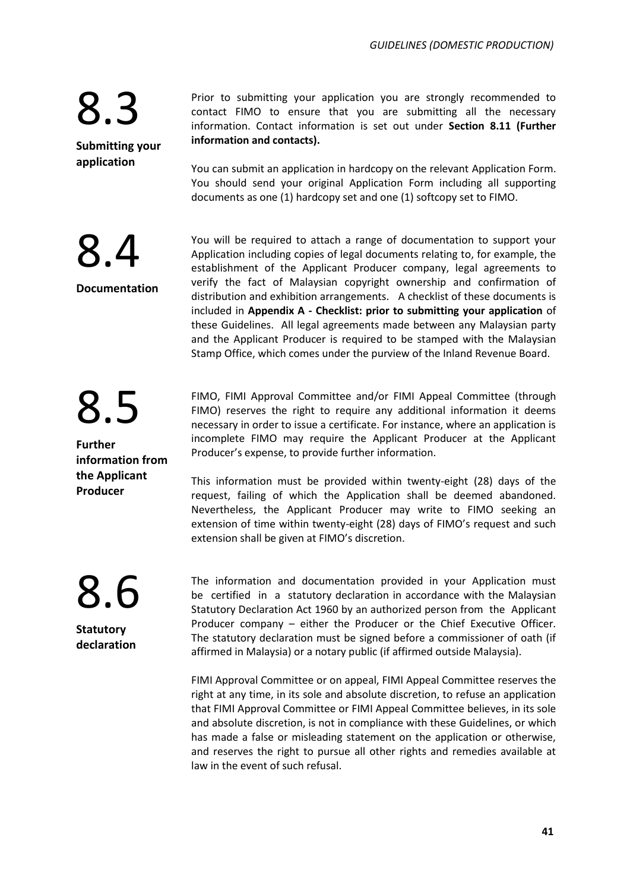8.4

8.5

**information from the Applicant Producer**

**Further** 

**Documentation**

**Submitting your application**

Prior to submitting your application you are strongly recommended to contact FIMO to ensure that you are submitting all the necessary information. Contact information is set out under **Section 8.11 (Further information and contacts).**

You can submit an application in hardcopy on the relevant Application Form. You should send your original Application Form including all supporting documents as one (1) hardcopy set and one (1) softcopy set to FIMO.

You will be required to attach a range of documentation to support your Application including copies of legal documents relating to, for example, the establishment of the Applicant Producer company, legal agreements to verify the fact of Malaysian copyright ownership and confirmation of distribution and exhibition arrangements. A checklist of these documents is included in **Appendix A - Checklist: prior to submitting your application** of these Guidelines. All legal agreements made between any Malaysian party and the Applicant Producer is required to be stamped with the Malaysian Stamp Office, which comes under the purview of the Inland Revenue Board.

FIMO, FIMI Approval Committee and/or FIMI Appeal Committee (through FIMO) reserves the right to require any additional information it deems necessary in order to issue a certificate. For instance, where an application is incomplete FIMO may require the Applicant Producer at the Applicant Producer's expense, to provide further information.

This information must be provided within twenty-eight (28) days of the request, failing of which the Application shall be deemed abandoned. Nevertheless, the Applicant Producer may write to FIMO seeking an extension of time within twenty-eight (28) days of FIMO's request and such extension shall be given at FIMO's discretion.

8.6 **Statutory** 

**declaration**

The information and documentation provided in your Application must be certified in a statutory declaration in accordance with the Malaysian Statutory Declaration Act 1960 by an authorized person from the Applicant Producer company – either the Producer or the Chief Executive Officer. The statutory declaration must be signed before a commissioner of oath (if affirmed in Malaysia) or a notary public (if affirmed outside Malaysia).

FIMI Approval Committee or on appeal, FIMI Appeal Committee reserves the right at any time, in its sole and absolute discretion, to refuse an application that FIMI Approval Committee or FIMI Appeal Committee believes, in its sole and absolute discretion, is not in compliance with these Guidelines, or which has made a false or misleading statement on the application or otherwise, and reserves the right to pursue all other rights and remedies available at law in the event of such refusal.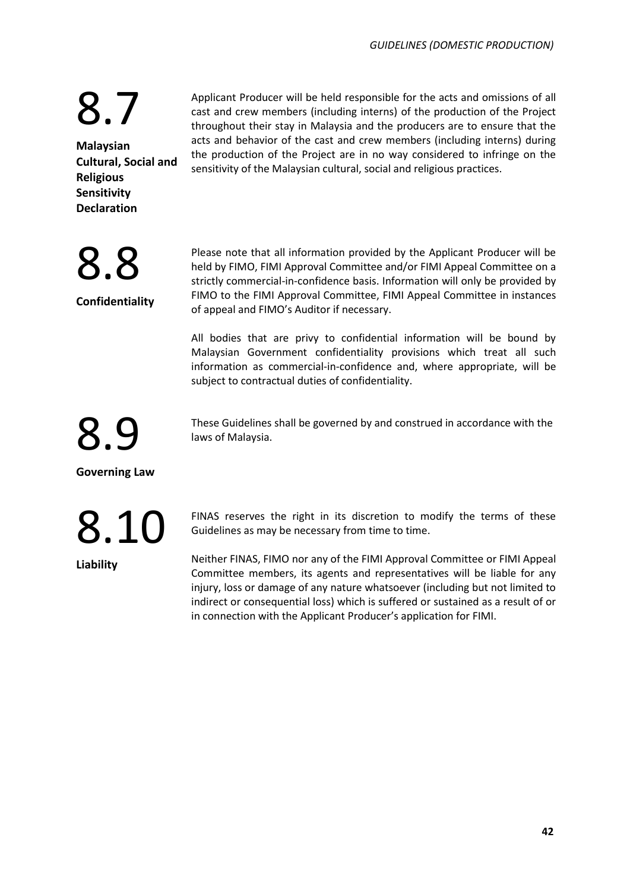Applicant Producer will be held responsible for the acts and omissions of all cast and crew members (including interns) of the production of the Project throughout their stay in Malaysia and the producers are to ensure that the acts and behavior of the cast and crew members (including interns) during the production of the Project are in no way considered to infringe on the sensitivity of the Malaysian cultural, social and religious practices.

**Malaysian Cultural, Social and Religious Sensitivity Declaration**

8.7

8.8

**Confidentiality**

Please note that all information provided by the Applicant Producer will be held by FIMO, FIMI Approval Committee and/or FIMI Appeal Committee on a strictly commercial-in-confidence basis. Information will only be provided by FIMO to the FIMI Approval Committee, FIMI Appeal Committee in instances of appeal and FIMO's Auditor if necessary.

All bodies that are privy to confidential information will be bound by Malaysian Government confidentiality provisions which treat all such information as commercial-in-confidence and, where appropriate, will be subject to contractual duties of confidentiality.

These Guidelines shall be governed by and construed in accordance with the laws of Malaysia.

**Governing Law**

**2.9** 

8.10

**Liability**

FINAS reserves the right in its discretion to modify the terms of these Guidelines as may be necessary from time to time.

Neither FINAS, FIMO nor any of the FIMI Approval Committee or FIMI Appeal Committee members, its agents and representatives will be liable for any injury, loss or damage of any nature whatsoever (including but not limited to indirect or consequential loss) which is suffered or sustained as a result of or in connection with the Applicant Producer's application for FIMI.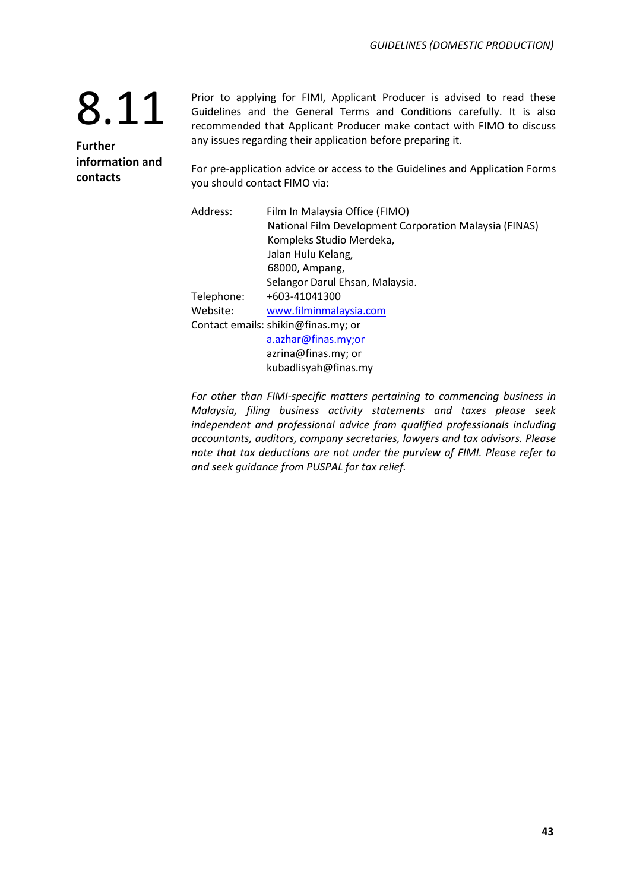**Further information and contacts**

Prior to applying for FIMI, Applicant Producer is advised to read these Guidelines and the General Terms and Conditions carefully. It is also recommended that Applicant Producer make contact with FIMO to discuss any issues regarding their application before preparing it.

For pre-application advice or access to the Guidelines and Application Forms you should contact FIMO via:

| Address:   | Film In Malaysia Office (FIMO)                         |
|------------|--------------------------------------------------------|
|            | National Film Development Corporation Malaysia (FINAS) |
|            | Kompleks Studio Merdeka,                               |
|            | Jalan Hulu Kelang,                                     |
|            | 68000, Ampang,                                         |
|            | Selangor Darul Ehsan, Malaysia.                        |
| Telephone: | +603-41041300                                          |
| Website:   | www.filminmalaysia.com                                 |
|            | Contact emails: shikin@finas.my; or                    |
|            | a.azhar@finas.my;or                                    |
|            | azrina@finas.my; or                                    |
|            | kubadlisyah@finas.my                                   |

*For other than FIMI-specific matters pertaining to commencing business in Malaysia, filing business activity statements and taxes please seek independent and professional advice from qualified professionals including accountants, auditors, company secretaries, lawyers and tax advisors. Please note that tax deductions are not under the purview of FIMI. Please refer to and seek guidance from PUSPAL for tax relief.*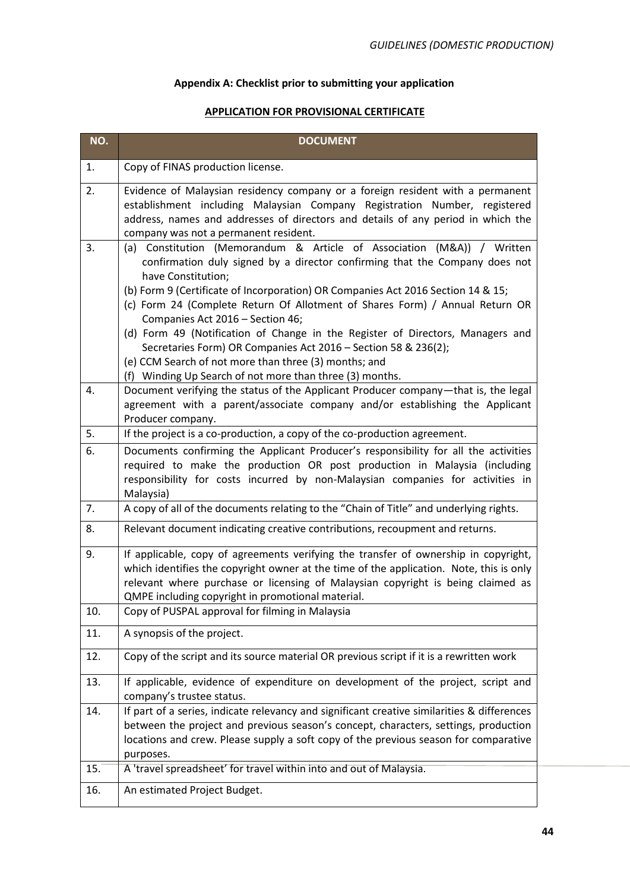### **Appendix A: Checklist prior to submitting your application**

### **APPLICATION FOR PROVISIONAL CERTIFICATE**

| NO. | <b>DOCUMENT</b>                                                                                                                                                                                                                                                                                                                                                                     |
|-----|-------------------------------------------------------------------------------------------------------------------------------------------------------------------------------------------------------------------------------------------------------------------------------------------------------------------------------------------------------------------------------------|
| 1.  | Copy of FINAS production license.                                                                                                                                                                                                                                                                                                                                                   |
| 2.  | Evidence of Malaysian residency company or a foreign resident with a permanent<br>establishment including Malaysian Company Registration Number, registered<br>address, names and addresses of directors and details of any period in which the<br>company was not a permanent resident.                                                                                            |
| 3.  | (a) Constitution (Memorandum & Article of Association (M&A)) / Written<br>confirmation duly signed by a director confirming that the Company does not<br>have Constitution;<br>(b) Form 9 (Certificate of Incorporation) OR Companies Act 2016 Section 14 & 15;<br>(c) Form 24 (Complete Return Of Allotment of Shares Form) / Annual Return OR<br>Companies Act 2016 - Section 46; |
|     | (d) Form 49 (Notification of Change in the Register of Directors, Managers and<br>Secretaries Form) OR Companies Act 2016 - Section 58 & 236(2);<br>(e) CCM Search of not more than three (3) months; and<br>(f) Winding Up Search of not more than three (3) months.                                                                                                               |
| 4.  | Document verifying the status of the Applicant Producer company-that is, the legal<br>agreement with a parent/associate company and/or establishing the Applicant<br>Producer company.                                                                                                                                                                                              |
| 5.  | If the project is a co-production, a copy of the co-production agreement.                                                                                                                                                                                                                                                                                                           |
| 6.  | Documents confirming the Applicant Producer's responsibility for all the activities<br>required to make the production OR post production in Malaysia (including<br>responsibility for costs incurred by non-Malaysian companies for activities in<br>Malaysia)                                                                                                                     |
| 7.  | A copy of all of the documents relating to the "Chain of Title" and underlying rights.                                                                                                                                                                                                                                                                                              |
| 8.  | Relevant document indicating creative contributions, recoupment and returns.                                                                                                                                                                                                                                                                                                        |
| 9.  | If applicable, copy of agreements verifying the transfer of ownership in copyright,<br>which identifies the copyright owner at the time of the application. Note, this is only<br>relevant where purchase or licensing of Malaysian copyright is being claimed as<br>QMPE including copyright in promotional material.                                                              |
| 10. | Copy of PUSPAL approval for filming in Malaysia                                                                                                                                                                                                                                                                                                                                     |
| 11. | A synopsis of the project.                                                                                                                                                                                                                                                                                                                                                          |
| 12. | Copy of the script and its source material OR previous script if it is a rewritten work                                                                                                                                                                                                                                                                                             |
| 13. | If applicable, evidence of expenditure on development of the project, script and<br>company's trustee status.                                                                                                                                                                                                                                                                       |
| 14. | If part of a series, indicate relevancy and significant creative similarities & differences<br>between the project and previous season's concept, characters, settings, production<br>locations and crew. Please supply a soft copy of the previous season for comparative<br>purposes.                                                                                             |
| 15. | A 'travel spreadsheet' for travel within into and out of Malaysia.                                                                                                                                                                                                                                                                                                                  |
| 16. | An estimated Project Budget.                                                                                                                                                                                                                                                                                                                                                        |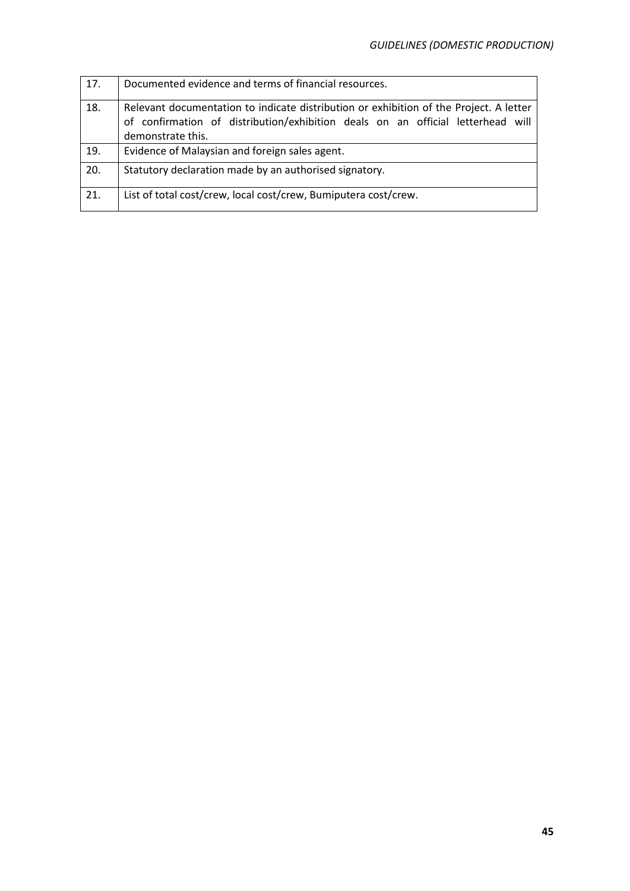| 17. | Documented evidence and terms of financial resources.                                                                                                                                          |
|-----|------------------------------------------------------------------------------------------------------------------------------------------------------------------------------------------------|
| 18. | Relevant documentation to indicate distribution or exhibition of the Project. A letter<br>of confirmation of distribution/exhibition deals on an official letterhead will<br>demonstrate this. |
| 19. | Evidence of Malaysian and foreign sales agent.                                                                                                                                                 |
| 20. | Statutory declaration made by an authorised signatory.                                                                                                                                         |
| 21. | List of total cost/crew, local cost/crew, Bumiputera cost/crew.                                                                                                                                |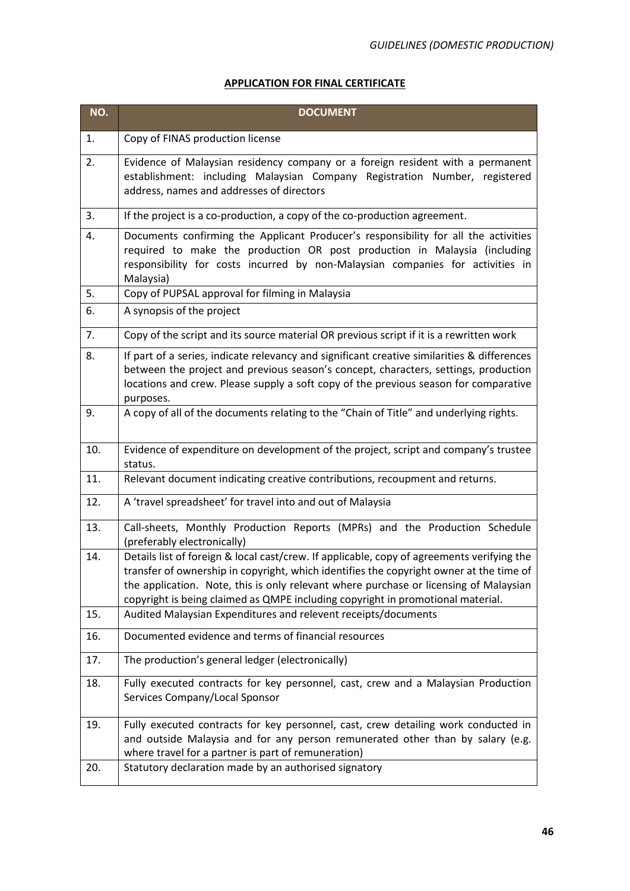### **APPLICATION FOR FINAL CERTIFICATE**

| NO. | <b>DOCUMENT</b>                                                                                                                                                                                                                                                                                                                                                   |
|-----|-------------------------------------------------------------------------------------------------------------------------------------------------------------------------------------------------------------------------------------------------------------------------------------------------------------------------------------------------------------------|
| 1.  | Copy of FINAS production license                                                                                                                                                                                                                                                                                                                                  |
| 2.  | Evidence of Malaysian residency company or a foreign resident with a permanent<br>establishment: including Malaysian Company Registration Number, registered<br>address, names and addresses of directors                                                                                                                                                         |
| 3.  | If the project is a co-production, a copy of the co-production agreement.                                                                                                                                                                                                                                                                                         |
| 4.  | Documents confirming the Applicant Producer's responsibility for all the activities<br>required to make the production OR post production in Malaysia (including<br>responsibility for costs incurred by non-Malaysian companies for activities in<br>Malaysia)                                                                                                   |
| 5.  | Copy of PUPSAL approval for filming in Malaysia                                                                                                                                                                                                                                                                                                                   |
| 6.  | A synopsis of the project                                                                                                                                                                                                                                                                                                                                         |
| 7.  | Copy of the script and its source material OR previous script if it is a rewritten work                                                                                                                                                                                                                                                                           |
| 8.  | If part of a series, indicate relevancy and significant creative similarities & differences<br>between the project and previous season's concept, characters, settings, production<br>locations and crew. Please supply a soft copy of the previous season for comparative<br>purposes.                                                                           |
| 9.  | A copy of all of the documents relating to the "Chain of Title" and underlying rights.                                                                                                                                                                                                                                                                            |
| 10. | Evidence of expenditure on development of the project, script and company's trustee<br>status.                                                                                                                                                                                                                                                                    |
| 11. | Relevant document indicating creative contributions, recoupment and returns.                                                                                                                                                                                                                                                                                      |
| 12. | A 'travel spreadsheet' for travel into and out of Malaysia                                                                                                                                                                                                                                                                                                        |
| 13. | Call-sheets, Monthly Production Reports (MPRs) and the Production Schedule<br>(preferably electronically)                                                                                                                                                                                                                                                         |
| 14. | Details list of foreign & local cast/crew. If applicable, copy of agreements verifying the<br>transfer of ownership in copyright, which identifies the copyright owner at the time of<br>the application. Note, this is only relevant where purchase or licensing of Malaysian<br>copyright is being claimed as QMPE including copyright in promotional material. |
| 15. | Audited Malaysian Expenditures and relevent receipts/documents                                                                                                                                                                                                                                                                                                    |
| 16. | Documented evidence and terms of financial resources                                                                                                                                                                                                                                                                                                              |
| 17. | The production's general ledger (electronically)                                                                                                                                                                                                                                                                                                                  |
| 18. | Fully executed contracts for key personnel, cast, crew and a Malaysian Production<br>Services Company/Local Sponsor                                                                                                                                                                                                                                               |
| 19. | Fully executed contracts for key personnel, cast, crew detailing work conducted in<br>and outside Malaysia and for any person remunerated other than by salary (e.g.<br>where travel for a partner is part of remuneration)                                                                                                                                       |
| 20. | Statutory declaration made by an authorised signatory                                                                                                                                                                                                                                                                                                             |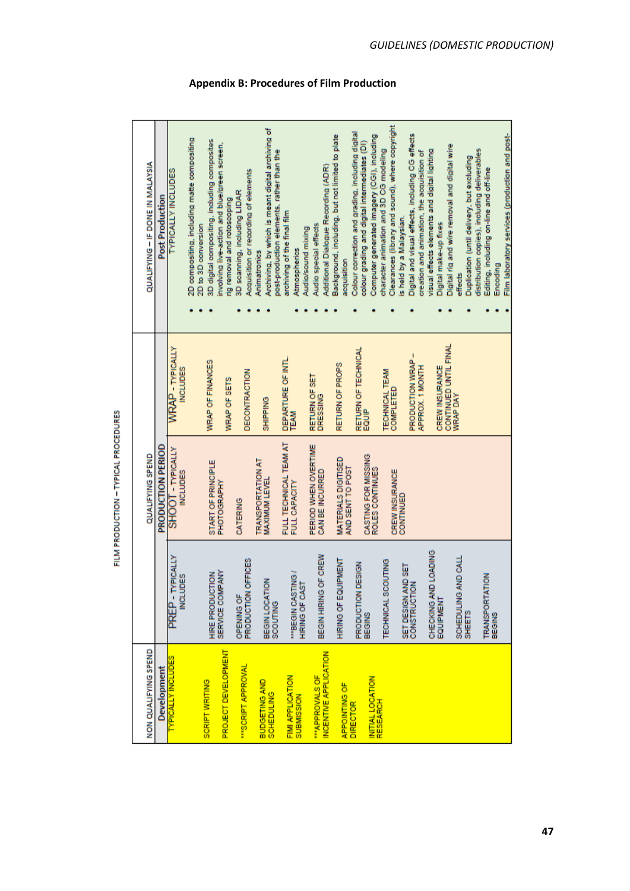| QUALIFYING - IF DONE IN MALAYSIA | Post Production   | <b>TYPICALLY INCLUDES</b><br><b>WRAP</b> - TYPICALLY<br><b>NCLUDES</b> | 2D compositing, including matte compositing<br>2D to 3D conversion | 3D digital compositing, including composites<br>WRAP OF FINANCES | involving live-action and blue/green screen,<br>rig removal and rotoscoping<br><b>WRAP OF SETS</b> | Acquisition or recording of elements<br>3D scanning, including LIDAR<br>DECONTRACTION | Archiving, by which is meant digital archiving of<br>Animatronics<br><b>SHIPPING</b> | post-production elements, rather than the | archiving of the final film<br><b>Atmospherics</b><br>DEPARTURE OF INTL. | Additional Dialogue Recording (ADR)<br>Audio special effects<br>Audio/sound mixing<br>RETURN OF SET<br>DRESSING | Background, including, but not limited to plate<br>acquisition<br>RETURN OF PROPS | Colour correction and grading, including digital<br>colour grading and digital intermediates (DI)<br>RETURN OF TECHNICAL<br>EQUIP | Computer generated imagery (CGI), including | Clearances (library and sound), where copyright<br>character animation and 3D CG modeling<br>TECHNICAL TEAM<br><b>COMPLETED</b> | Digital and visual effects, including CG effects<br>is held by a Malaysian.<br>PRODUCTION WRAP- | visual effects elements and digital lighting<br>creation and animation, the acquisition of<br>APPROX. 1 MONTH | Digital make-up fixes<br>CREW INSURANCE | Digital rig and wire removal and digital wire<br>effects<br>CONTINUED UNTIL FINAL<br><b>WRAP DAY</b> | Duplication (until delivery, but excluding | distribution copies), including deliverables<br>Editing, including on-line and off-line | Film laboratory services (production and post-<br>Encoding |
|----------------------------------|-------------------|------------------------------------------------------------------------|--------------------------------------------------------------------|------------------------------------------------------------------|----------------------------------------------------------------------------------------------------|---------------------------------------------------------------------------------------|--------------------------------------------------------------------------------------|-------------------------------------------|--------------------------------------------------------------------------|-----------------------------------------------------------------------------------------------------------------|-----------------------------------------------------------------------------------|-----------------------------------------------------------------------------------------------------------------------------------|---------------------------------------------|---------------------------------------------------------------------------------------------------------------------------------|-------------------------------------------------------------------------------------------------|---------------------------------------------------------------------------------------------------------------|-----------------------------------------|------------------------------------------------------------------------------------------------------|--------------------------------------------|-----------------------------------------------------------------------------------------|------------------------------------------------------------|
| QUALIFYING SPEND                 | PRODUCTION PERIOD | SHOOT - TYPICALLY<br><b>NCLUDES</b>                                    |                                                                    | START OF PRINCIPLE                                               | PHOTOGRAPHY                                                                                        | CATERING                                                                              | <b>TRANSPORTATION AT</b><br><b>MAXIMUM LEVEL</b>                                     |                                           | <b>TEAM</b><br>FULL TECHNICAL TEAM AT<br>FULL CAPACITY                   | PERIOD WHEN OVERTIME<br>CAN BE INCURRED                                                                         | MATERIALS DIGITISED<br>AND SENT TO POST                                           |                                                                                                                                   | CASTING FOR MISSING<br>ROLES CONTINUES      | CREW INSURANCE                                                                                                                  | CONTINUED                                                                                       |                                                                                                               |                                         |                                                                                                      |                                            |                                                                                         |                                                            |
|                                  |                   | YPICALLY<br><b>INCLUDES</b><br>PREP-T                                  |                                                                    | <b>HIRE PRODUCTION</b>                                           | SERVICE COMPANY                                                                                    | PRODUCTION OFFICES<br><b>OPENING OF</b>                                               | BEGIN LOCATION                                                                       | SCOUTING                                  | "BEGIN CASTING /<br>HIRING OF CAST                                       | BEGIN HIRING OF CREW                                                                                            | HIRING OF EQUIPMENT                                                               | PRODUCTION DESIGN                                                                                                                 | BEGINS                                      | TECHNICAL SCOUTING                                                                                                              | SET DESIGN AND SET<br>CONSTRUCTION                                                              | CHECKING AND LOADING                                                                                          | EQUIPMENT                               | SCHEDULING AND CALL                                                                                  | <b>SHEETS</b>                              | <b>TRANSPORTATION</b>                                                                   | <b>BEGINS</b>                                              |
| NON QUALIFYING SPEND             | Development       | <b>TYPICALLY INCLUDES</b>                                              |                                                                    | <b>SCRIPT WRITING</b>                                            | PROJECT DEVELOPMENT                                                                                | "SCRIPT APPROVAL                                                                      | <b>BUDGETING AND</b>                                                                 | <b>SCHEDULING</b>                         | <b>FIMI APPLICATION</b><br>SUBMISSION                                    | INCENTIVE APPLICATION<br>"APPROVALS OF                                                                          | <b>APPOINTING OF</b>                                                              | <b>DIRECTOR</b>                                                                                                                   | INITIAL LOCATION<br>RESEARCH                |                                                                                                                                 |                                                                                                 |                                                                                                               |                                         |                                                                                                      |                                            |                                                                                         |                                                            |

FILM PRODUCTION - TYPICAL PROCEDURES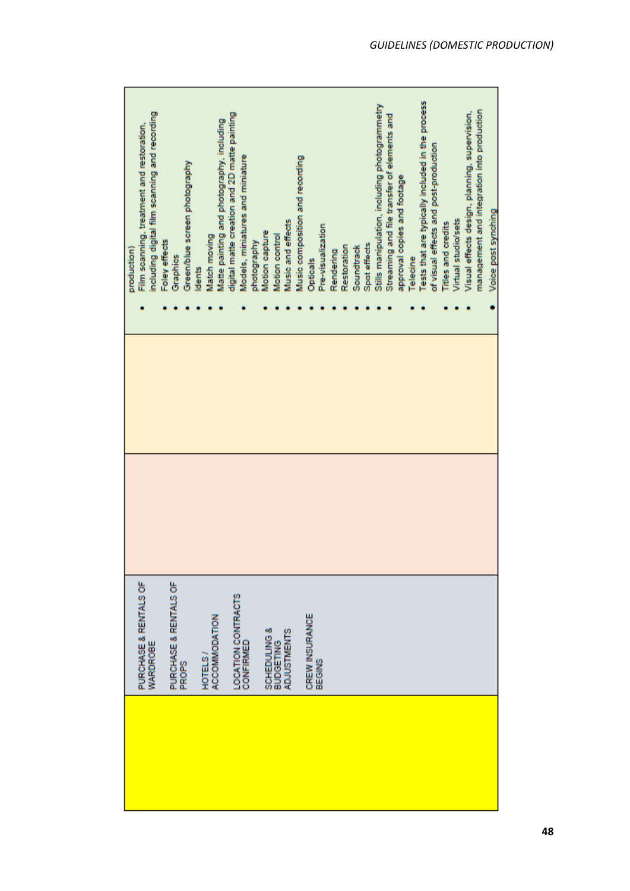| including digital film scanning and recording<br>Film scanning, treatment and restoration,<br>Foley effects<br>production) | Green/blue screen photography<br>Graphics | Matte painting and photography, including<br>Match moving<br>dents | digital matte creation and 2D matte painting<br>Models, miniatures and miniature<br>photography | Music and effects<br>Motion capture<br>Motion control             | Music composition and recording<br>Pre-visualization<br><b>Opticals</b> | Restoration<br>Rendering | Spot effects<br>Soundtrack | Stills manipulation, including photogrammetry<br>Streaming and file transfer of elements and<br>approval copies and footage | Telecine | Tests that are typically included in the process<br>of visual effects and post-production | Virtual studio/sets<br><b>Titles and credits</b> | management and integration into production<br>Visual effects design, planning, supervision, | Voice post synching |
|----------------------------------------------------------------------------------------------------------------------------|-------------------------------------------|--------------------------------------------------------------------|-------------------------------------------------------------------------------------------------|-------------------------------------------------------------------|-------------------------------------------------------------------------|--------------------------|----------------------------|-----------------------------------------------------------------------------------------------------------------------------|----------|-------------------------------------------------------------------------------------------|--------------------------------------------------|---------------------------------------------------------------------------------------------|---------------------|
|                                                                                                                            |                                           |                                                                    |                                                                                                 |                                                                   |                                                                         |                          |                            |                                                                                                                             |          |                                                                                           |                                                  |                                                                                             |                     |
| PURCHASE & RENTALS OF<br><b>WARDROBE</b>                                                                                   | PURCHASE & RENTALS OF<br><b>PROPS</b>     | ACCOMMODATION<br>HOTELS                                            | LOCATION CONTRACTS<br>CONFIRMED                                                                 | <b>SCHEDULING &amp;</b><br><b>ADJUSTMENTS</b><br><b>BUDGETING</b> | CREW INSURANCE<br>BEGINS                                                |                          |                            |                                                                                                                             |          |                                                                                           |                                                  |                                                                                             |                     |
|                                                                                                                            |                                           |                                                                    |                                                                                                 |                                                                   |                                                                         |                          |                            |                                                                                                                             |          |                                                                                           |                                                  |                                                                                             |                     |

r.